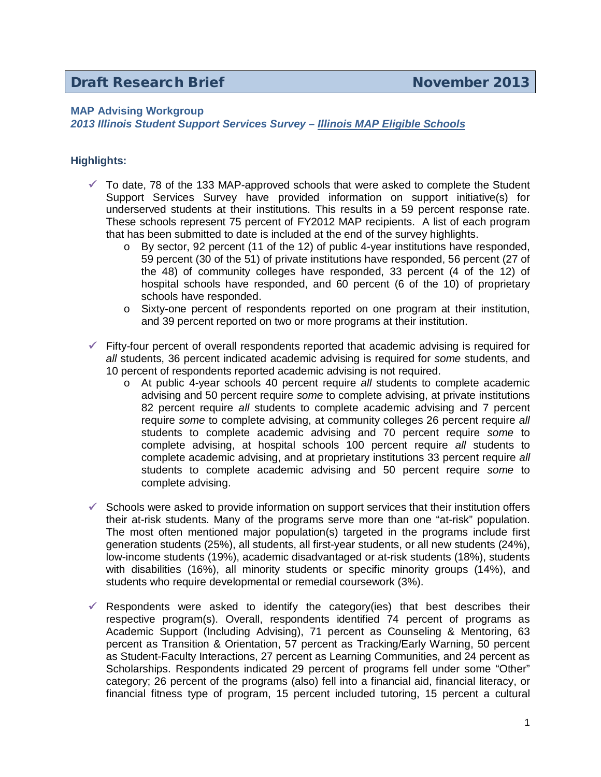## **MAP Advising Workgroup**

*2013 Illinois Student Support Services Survey – Illinois MAP Eligible Schools*

## **Highlights:**

- $\checkmark$  To date, 78 of the 133 MAP-approved schools that were asked to complete the Student Support Services Survey have provided information on support initiative(s) for underserved students at their institutions. This results in a 59 percent response rate. These schools represent 75 percent of FY2012 MAP recipients. A list of each program that has been submitted to date is included at the end of the survey highlights.
	- $\circ$  By sector, 92 percent (11 of the 12) of public 4-year institutions have responded, 59 percent (30 of the 51) of private institutions have responded, 56 percent (27 of the 48) of community colleges have responded, 33 percent (4 of the 12) of hospital schools have responded, and 60 percent (6 of the 10) of proprietary schools have responded.
	- o Sixty-one percent of respondents reported on one program at their institution, and 39 percent reported on two or more programs at their institution.
- $\checkmark$  Fifty-four percent of overall respondents reported that academic advising is required for *all* students, 36 percent indicated academic advising is required for *some* students, and 10 percent of respondents reported academic advising is not required.
	- o At public 4-year schools 40 percent require *all* students to complete academic advising and 50 percent require *some* to complete advising, at private institutions 82 percent require *all* students to complete academic advising and 7 percent require *some* to complete advising, at community colleges 26 percent require *all* students to complete academic advising and 70 percent require *some* to complete advising, at hospital schools 100 percent require *all* students to complete academic advising, and at proprietary institutions 33 percent require *all* students to complete academic advising and 50 percent require *some* to complete advising.
- $\checkmark$  Schools were asked to provide information on support services that their institution offers their at-risk students. Many of the programs serve more than one "at-risk" population. The most often mentioned major population(s) targeted in the programs include first generation students (25%), all students, all first-year students, or all new students (24%), low-income students (19%), academic disadvantaged or at-risk students (18%), students with disabilities (16%), all minority students or specific minority groups (14%), and students who require developmental or remedial coursework (3%).
- $\checkmark$  Respondents were asked to identify the category(ies) that best describes their respective program(s). Overall, respondents identified 74 percent of programs as Academic Support (Including Advising), 71 percent as Counseling & Mentoring, 63 percent as Transition & Orientation, 57 percent as Tracking/Early Warning, 50 percent as Student-Faculty Interactions, 27 percent as Learning Communities, and 24 percent as Scholarships. Respondents indicated 29 percent of programs fell under some "Other" category; 26 percent of the programs (also) fell into a financial aid, financial literacy, or financial fitness type of program, 15 percent included tutoring, 15 percent a cultural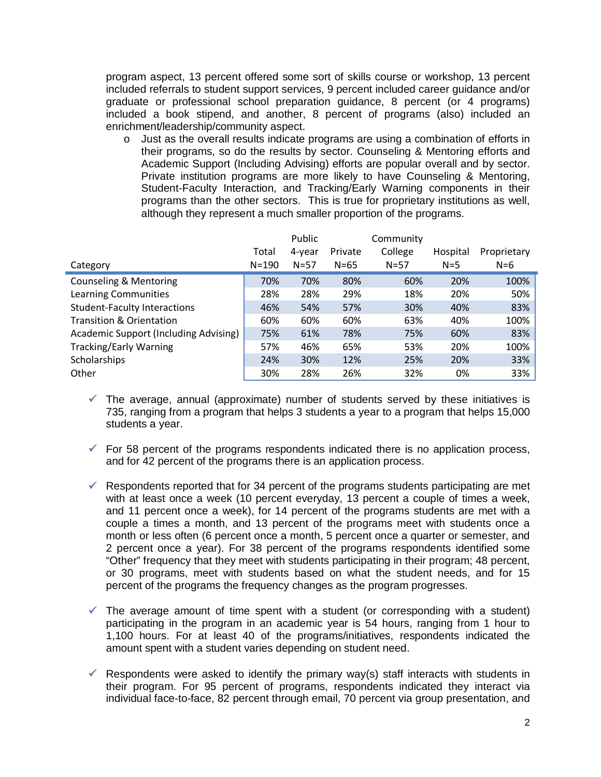program aspect, 13 percent offered some sort of skills course or workshop, 13 percent included referrals to student support services, 9 percent included career guidance and/or graduate or professional school preparation guidance, 8 percent (or 4 programs) included a book stipend, and another, 8 percent of programs (also) included an enrichment/leadership/community aspect.

 $\circ$  Just as the overall results indicate programs are using a combination of efforts in their programs, so do the results by sector. Counseling & Mentoring efforts and Academic Support (Including Advising) efforts are popular overall and by sector. Private institution programs are more likely to have Counseling & Mentoring, Student-Faculty Interaction, and Tracking/Early Warning components in their programs than the other sectors. This is true for proprietary institutions as well, although they represent a much smaller proportion of the programs.

|                                              |           | Public   |          | Community |          |             |
|----------------------------------------------|-----------|----------|----------|-----------|----------|-------------|
|                                              | Total     | 4-year   | Private  | College   | Hospital | Proprietary |
| Category                                     | $N = 190$ | $N = 57$ | $N = 65$ | $N = 57$  | $N=5$    | $N=6$       |
| <b>Counseling &amp; Mentoring</b>            | 70%       | 70%      | 80%      | 60%       | 20%      | 100%        |
| Learning Communities                         | 28%       | 28%      | 29%      | 18%       | 20%      | 50%         |
| <b>Student-Faculty Interactions</b>          | 46%       | 54%      | 57%      | 30%       | 40%      | 83%         |
| <b>Transition &amp; Orientation</b>          | 60%       | 60%      | 60%      | 63%       | 40%      | 100%        |
| <b>Academic Support (Including Advising)</b> | 75%       | 61%      | 78%      | 75%       | 60%      | 83%         |
| <b>Tracking/Early Warning</b>                | 57%       | 46%      | 65%      | 53%       | 20%      | 100%        |
| Scholarships                                 | 24%       | 30%      | 12%      | 25%       | 20%      | 33%         |
| Other                                        | 30%       | 28%      | 26%      | 32%       | 0%       | 33%         |

- $\checkmark$  The average, annual (approximate) number of students served by these initiatives is 735, ranging from a program that helps 3 students a year to a program that helps 15,000 students a year.
- $\checkmark$  For 58 percent of the programs respondents indicated there is no application process, and for 42 percent of the programs there is an application process.
- $\checkmark$  Respondents reported that for 34 percent of the programs students participating are met with at least once a week (10 percent everyday, 13 percent a couple of times a week, and 11 percent once a week), for 14 percent of the programs students are met with a couple a times a month, and 13 percent of the programs meet with students once a month or less often (6 percent once a month, 5 percent once a quarter or semester, and 2 percent once a year). For 38 percent of the programs respondents identified some "Other" frequency that they meet with students participating in their program; 48 percent, or 30 programs, meet with students based on what the student needs, and for 15 percent of the programs the frequency changes as the program progresses.
- $\checkmark$  The average amount of time spent with a student (or corresponding with a student) participating in the program in an academic year is 54 hours, ranging from 1 hour to 1,100 hours. For at least 40 of the programs/initiatives, respondents indicated the amount spent with a student varies depending on student need.
- $\checkmark$  Respondents were asked to identify the primary way(s) staff interacts with students in their program. For 95 percent of programs, respondents indicated they interact via individual face-to-face, 82 percent through email, 70 percent via group presentation, and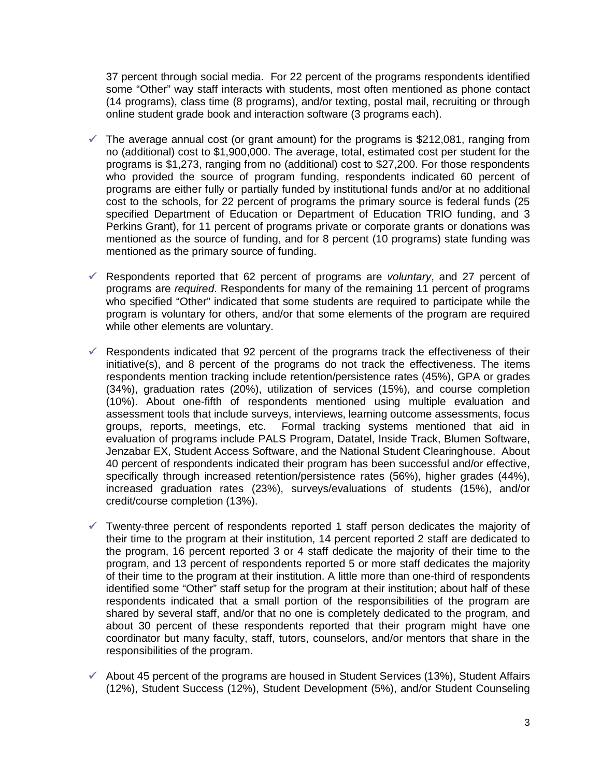37 percent through social media. For 22 percent of the programs respondents identified some "Other" way staff interacts with students, most often mentioned as phone contact (14 programs), class time (8 programs), and/or texting, postal mail, recruiting or through online student grade book and interaction software (3 programs each).

- $\checkmark$  The average annual cost (or grant amount) for the programs is \$212,081, ranging from no (additional) cost to \$1,900,000. The average, total, estimated cost per student for the programs is \$1,273, ranging from no (additional) cost to \$27,200. For those respondents who provided the source of program funding, respondents indicated 60 percent of programs are either fully or partially funded by institutional funds and/or at no additional cost to the schools, for 22 percent of programs the primary source is federal funds (25 specified Department of Education or Department of Education TRIO funding, and 3 Perkins Grant), for 11 percent of programs private or corporate grants or donations was mentioned as the source of funding, and for 8 percent (10 programs) state funding was mentioned as the primary source of funding.
- Respondents reported that 62 percent of programs are *voluntary*, and 27 percent of programs are *required*. Respondents for many of the remaining 11 percent of programs who specified "Other" indicated that some students are required to participate while the program is voluntary for others, and/or that some elements of the program are required while other elements are voluntary.
- $\checkmark$  Respondents indicated that 92 percent of the programs track the effectiveness of their initiative(s), and 8 percent of the programs do not track the effectiveness. The items respondents mention tracking include retention/persistence rates (45%), GPA or grades (34%), graduation rates (20%), utilization of services (15%), and course completion (10%). About one-fifth of respondents mentioned using multiple evaluation and assessment tools that include surveys, interviews, learning outcome assessments, focus groups, reports, meetings, etc. Formal tracking systems mentioned that aid in evaluation of programs include PALS Program, Datatel, Inside Track, Blumen Software, Jenzabar EX, Student Access Software, and the National Student Clearinghouse. About 40 percent of respondents indicated their program has been successful and/or effective, specifically through increased retention/persistence rates (56%), higher grades (44%), increased graduation rates (23%), surveys/evaluations of students (15%), and/or credit/course completion (13%).
- $\checkmark$  Twenty-three percent of respondents reported 1 staff person dedicates the majority of their time to the program at their institution, 14 percent reported 2 staff are dedicated to the program, 16 percent reported 3 or 4 staff dedicate the majority of their time to the program, and 13 percent of respondents reported 5 or more staff dedicates the majority of their time to the program at their institution. A little more than one-third of respondents identified some "Other" staff setup for the program at their institution; about half of these respondents indicated that a small portion of the responsibilities of the program are shared by several staff, and/or that no one is completely dedicated to the program, and about 30 percent of these respondents reported that their program might have one coordinator but many faculty, staff, tutors, counselors, and/or mentors that share in the responsibilities of the program.
- $\checkmark$  About 45 percent of the programs are housed in Student Services (13%), Student Affairs (12%), Student Success (12%), Student Development (5%), and/or Student Counseling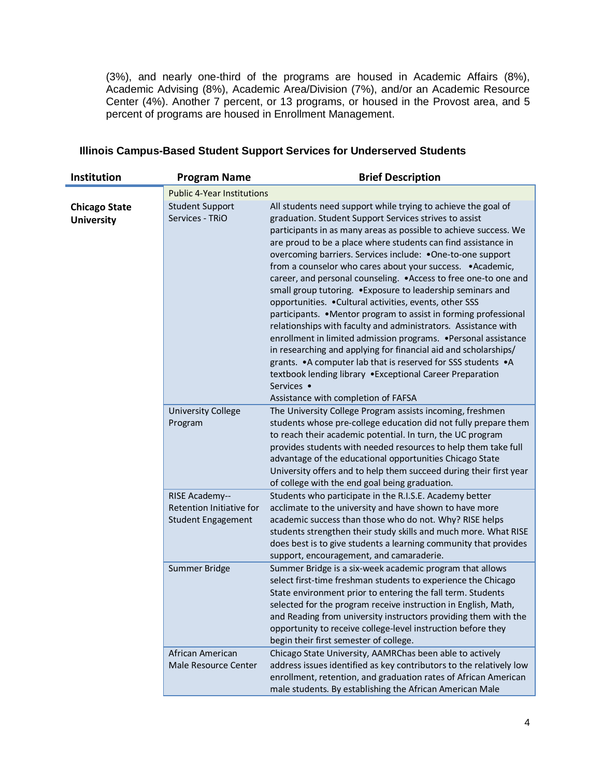(3%), and nearly one-third of the programs are housed in Academic Affairs (8%), Academic Advising (8%), Academic Area/Division (7%), and/or an Academic Resource Center (4%). Another 7 percent, or 13 programs, or housed in the Provost area, and 5 percent of programs are housed in Enrollment Management.

| <b>Institution</b>                        | <b>Program Name</b>                                                     | <b>Brief Description</b>                                                                                                                                                                                                                                                                                                                                                                                                                                                                                                                                                                                                                                                                                                                                                                                                                                                                                                                                                                                                                               |
|-------------------------------------------|-------------------------------------------------------------------------|--------------------------------------------------------------------------------------------------------------------------------------------------------------------------------------------------------------------------------------------------------------------------------------------------------------------------------------------------------------------------------------------------------------------------------------------------------------------------------------------------------------------------------------------------------------------------------------------------------------------------------------------------------------------------------------------------------------------------------------------------------------------------------------------------------------------------------------------------------------------------------------------------------------------------------------------------------------------------------------------------------------------------------------------------------|
|                                           | <b>Public 4-Year Institutions</b>                                       |                                                                                                                                                                                                                                                                                                                                                                                                                                                                                                                                                                                                                                                                                                                                                                                                                                                                                                                                                                                                                                                        |
| <b>Chicago State</b><br><b>University</b> | <b>Student Support</b><br>Services - TRIO                               | All students need support while trying to achieve the goal of<br>graduation. Student Support Services strives to assist<br>participants in as many areas as possible to achieve success. We<br>are proud to be a place where students can find assistance in<br>overcoming barriers. Services include: . One-to-one support<br>from a counselor who cares about your success. . Academic,<br>career, and personal counseling. . Access to free one-to one and<br>small group tutoring. . Exposure to leadership seminars and<br>opportunities. . Cultural activities, events, other SSS<br>participants. • Mentor program to assist in forming professional<br>relationships with faculty and administrators. Assistance with<br>enrollment in limited admission programs. . Personal assistance<br>in researching and applying for financial aid and scholarships/<br>grants. . A computer lab that is reserved for SSS students . A<br>textbook lending library .Exceptional Career Preparation<br>Services •<br>Assistance with completion of FAFSA |
|                                           | <b>University College</b><br>Program                                    | The University College Program assists incoming, freshmen<br>students whose pre-college education did not fully prepare them<br>to reach their academic potential. In turn, the UC program<br>provides students with needed resources to help them take full<br>advantage of the educational opportunities Chicago State<br>University offers and to help them succeed during their first year<br>of college with the end goal being graduation.                                                                                                                                                                                                                                                                                                                                                                                                                                                                                                                                                                                                       |
|                                           | RISE Academy--<br>Retention Initiative for<br><b>Student Engagement</b> | Students who participate in the R.I.S.E. Academy better<br>acclimate to the university and have shown to have more<br>academic success than those who do not. Why? RISE helps<br>students strengthen their study skills and much more. What RISE<br>does best is to give students a learning community that provides<br>support, encouragement, and camaraderie.                                                                                                                                                                                                                                                                                                                                                                                                                                                                                                                                                                                                                                                                                       |
|                                           | Summer Bridge                                                           | Summer Bridge is a six-week academic program that allows<br>select first-time freshman students to experience the Chicago<br>State environment prior to entering the fall term. Students<br>selected for the program receive instruction in English, Math,<br>and Reading from university instructors providing them with the<br>opportunity to receive college-level instruction before they<br>begin their first semester of college.                                                                                                                                                                                                                                                                                                                                                                                                                                                                                                                                                                                                                |
|                                           | African American<br>Male Resource Center                                | Chicago State University, AAMRChas been able to actively<br>address issues identified as key contributors to the relatively low<br>enrollment, retention, and graduation rates of African American<br>male students. By establishing the African American Male                                                                                                                                                                                                                                                                                                                                                                                                                                                                                                                                                                                                                                                                                                                                                                                         |

## **Illinois Campus-Based Student Support Services for Underserved Students**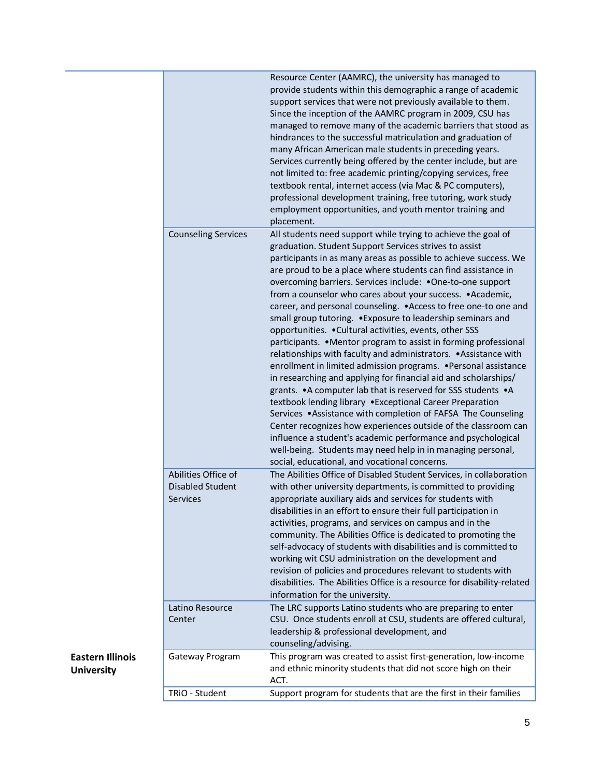|                                                                   | Resource Center (AAMRC), the university has managed to<br>provide students within this demographic a range of academic<br>support services that were not previously available to them.<br>Since the inception of the AAMRC program in 2009, CSU has<br>managed to remove many of the academic barriers that stood as<br>hindrances to the successful matriculation and graduation of<br>many African American male students in preceding years.<br>Services currently being offered by the center include, but are<br>not limited to: free academic printing/copying services, free<br>textbook rental, internet access (via Mac & PC computers),<br>professional development training, free tutoring, work study<br>employment opportunities, and youth mentor training and<br>placement.                                                                                                                                                                                                                                                                                                                                                                                                                                                                                                                             |
|-------------------------------------------------------------------|------------------------------------------------------------------------------------------------------------------------------------------------------------------------------------------------------------------------------------------------------------------------------------------------------------------------------------------------------------------------------------------------------------------------------------------------------------------------------------------------------------------------------------------------------------------------------------------------------------------------------------------------------------------------------------------------------------------------------------------------------------------------------------------------------------------------------------------------------------------------------------------------------------------------------------------------------------------------------------------------------------------------------------------------------------------------------------------------------------------------------------------------------------------------------------------------------------------------------------------------------------------------------------------------------------------------|
| <b>Counseling Services</b>                                        | All students need support while trying to achieve the goal of<br>graduation. Student Support Services strives to assist<br>participants in as many areas as possible to achieve success. We<br>are proud to be a place where students can find assistance in<br>overcoming barriers. Services include: . One-to-one support<br>from a counselor who cares about your success. • Academic,<br>career, and personal counseling. . Access to free one-to one and<br>small group tutoring. . Exposure to leadership seminars and<br>opportunities. . Cultural activities, events, other SSS<br>participants. • Mentor program to assist in forming professional<br>relationships with faculty and administrators. • Assistance with<br>enrollment in limited admission programs. . Personal assistance<br>in researching and applying for financial aid and scholarships/<br>grants. . A computer lab that is reserved for SSS students . A<br>textbook lending library . Exceptional Career Preparation<br>Services .Assistance with completion of FAFSA The Counseling<br>Center recognizes how experiences outside of the classroom can<br>influence a student's academic performance and psychological<br>well-being. Students may need help in in managing personal,<br>social, educational, and vocational concerns. |
| Abilities Office of<br><b>Disabled Student</b><br><b>Services</b> | The Abilities Office of Disabled Student Services, in collaboration<br>with other university departments, is committed to providing<br>appropriate auxiliary aids and services for students with<br>disabilities in an effort to ensure their full participation in<br>activities, programs, and services on campus and in the<br>community. The Abilities Office is dedicated to promoting the<br>self-advocacy of students with disabilities and is committed to<br>working wit CSU administration on the development and<br>revision of policies and procedures relevant to students with<br>disabilities. The Abilities Office is a resource for disability-related<br>information for the university.                                                                                                                                                                                                                                                                                                                                                                                                                                                                                                                                                                                                             |
| Latino Resource<br>Center                                         | The LRC supports Latino students who are preparing to enter<br>CSU. Once students enroll at CSU, students are offered cultural,<br>leadership & professional development, and<br>counseling/advising.                                                                                                                                                                                                                                                                                                                                                                                                                                                                                                                                                                                                                                                                                                                                                                                                                                                                                                                                                                                                                                                                                                                  |
| Gateway Program                                                   | This program was created to assist first-generation, low-income<br>and ethnic minority students that did not score high on their<br>ACT.                                                                                                                                                                                                                                                                                                                                                                                                                                                                                                                                                                                                                                                                                                                                                                                                                                                                                                                                                                                                                                                                                                                                                                               |
| TRiO - Student                                                    | Support program for students that are the first in their families                                                                                                                                                                                                                                                                                                                                                                                                                                                                                                                                                                                                                                                                                                                                                                                                                                                                                                                                                                                                                                                                                                                                                                                                                                                      |
|                                                                   |                                                                                                                                                                                                                                                                                                                                                                                                                                                                                                                                                                                                                                                                                                                                                                                                                                                                                                                                                                                                                                                                                                                                                                                                                                                                                                                        |

## **Eastern Illinois University**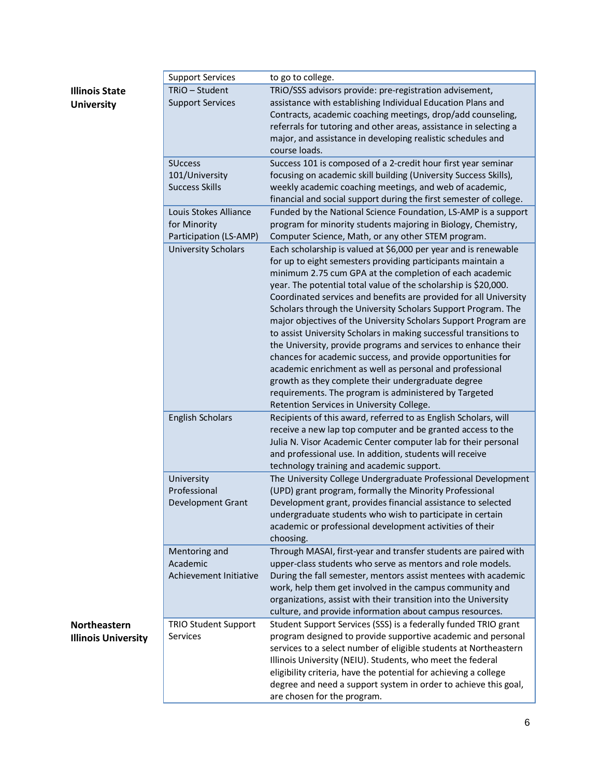| Illinois State    |
|-------------------|
| <b>University</b> |

|                            | <b>Support Services</b>     | to go to college.                                                  |
|----------------------------|-----------------------------|--------------------------------------------------------------------|
| <b>Illinois State</b>      | TRiO - Student              | TRIO/SSS advisors provide: pre-registration advisement,            |
| <b>University</b>          | <b>Support Services</b>     | assistance with establishing Individual Education Plans and        |
|                            |                             | Contracts, academic coaching meetings, drop/add counseling,        |
|                            |                             | referrals for tutoring and other areas, assistance in selecting a  |
|                            |                             | major, and assistance in developing realistic schedules and        |
|                            |                             | course loads.                                                      |
|                            | <b>SUccess</b>              | Success 101 is composed of a 2-credit hour first year seminar      |
|                            | 101/University              | focusing on academic skill building (University Success Skills),   |
|                            |                             |                                                                    |
|                            | <b>Success Skills</b>       | weekly academic coaching meetings, and web of academic,            |
|                            |                             | financial and social support during the first semester of college. |
|                            | Louis Stokes Alliance       | Funded by the National Science Foundation, LS-AMP is a support     |
|                            | for Minority                | program for minority students majoring in Biology, Chemistry,      |
|                            | Participation (LS-AMP)      | Computer Science, Math, or any other STEM program.                 |
|                            | <b>University Scholars</b>  | Each scholarship is valued at \$6,000 per year and is renewable    |
|                            |                             | for up to eight semesters providing participants maintain a        |
|                            |                             | minimum 2.75 cum GPA at the completion of each academic            |
|                            |                             | year. The potential total value of the scholarship is \$20,000.    |
|                            |                             | Coordinated services and benefits are provided for all University  |
|                            |                             | Scholars through the University Scholars Support Program. The      |
|                            |                             | major objectives of the University Scholars Support Program are    |
|                            |                             | to assist University Scholars in making successful transitions to  |
|                            |                             | the University, provide programs and services to enhance their     |
|                            |                             | chances for academic success, and provide opportunities for        |
|                            |                             | academic enrichment as well as personal and professional           |
|                            |                             | growth as they complete their undergraduate degree                 |
|                            |                             | requirements. The program is administered by Targeted              |
|                            |                             | Retention Services in University College.                          |
|                            |                             |                                                                    |
|                            | <b>English Scholars</b>     | Recipients of this award, referred to as English Scholars, will    |
|                            |                             | receive a new lap top computer and be granted access to the        |
|                            |                             | Julia N. Visor Academic Center computer lab for their personal     |
|                            |                             | and professional use. In addition, students will receive           |
|                            |                             | technology training and academic support.                          |
|                            | University                  | The University College Undergraduate Professional Development      |
|                            | Professional                | (UPD) grant program, formally the Minority Professional            |
|                            | <b>Development Grant</b>    | Development grant, provides financial assistance to selected       |
|                            |                             | undergraduate students who wish to participate in certain          |
|                            |                             | academic or professional development activities of their           |
|                            |                             | choosing.                                                          |
|                            | Mentoring and               | Through MASAI, first-year and transfer students are paired with    |
|                            | Academic                    | upper-class students who serve as mentors and role models.         |
|                            | Achievement Initiative      | During the fall semester, mentors assist mentees with academic     |
|                            |                             | work, help them get involved in the campus community and           |
|                            |                             | organizations, assist with their transition into the University    |
|                            |                             | culture, and provide information about campus resources.           |
| Northeastern               | <b>TRIO Student Support</b> | Student Support Services (SSS) is a federally funded TRIO grant    |
|                            | <b>Services</b>             | program designed to provide supportive academic and personal       |
| <b>Illinois University</b> |                             | services to a select number of eligible students at Northeastern   |
|                            |                             | Illinois University (NEIU). Students, who meet the federal         |
|                            |                             | eligibility criteria, have the potential for achieving a college   |
|                            |                             | degree and need a support system in order to achieve this goal,    |
|                            |                             | are chosen for the program.                                        |
|                            |                             |                                                                    |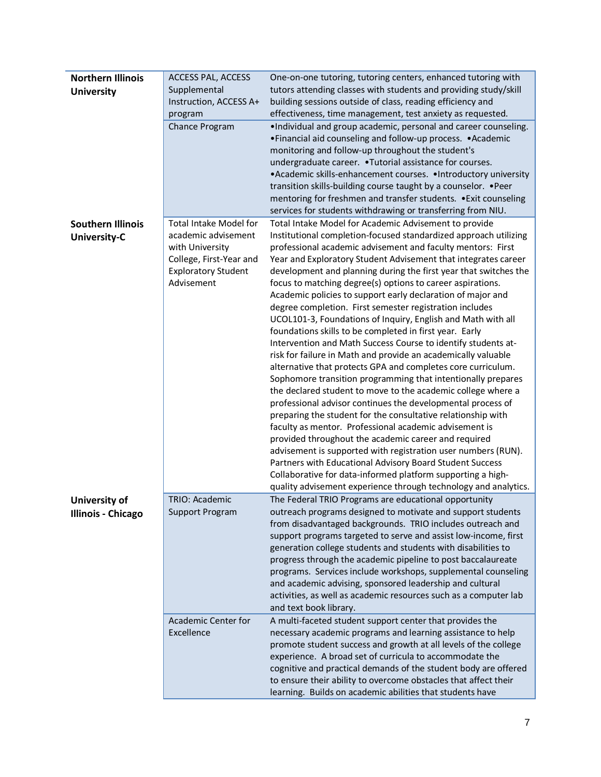| <b>Northern Illinois</b><br><b>University</b>     | <b>ACCESS PAL, ACCESS</b><br>Supplemental<br>Instruction, ACCESS A+                                                                            | One-on-one tutoring, tutoring centers, enhanced tutoring with<br>tutors attending classes with students and providing study/skill<br>building sessions outside of class, reading efficiency and                                                                                                                                                                                                                                                                                                                                                                                                                                                                                                                                                                                                                                                                                                                                                                                                                                                                                                                                                                                                                                                                                                                                                                                                                                  |
|---------------------------------------------------|------------------------------------------------------------------------------------------------------------------------------------------------|----------------------------------------------------------------------------------------------------------------------------------------------------------------------------------------------------------------------------------------------------------------------------------------------------------------------------------------------------------------------------------------------------------------------------------------------------------------------------------------------------------------------------------------------------------------------------------------------------------------------------------------------------------------------------------------------------------------------------------------------------------------------------------------------------------------------------------------------------------------------------------------------------------------------------------------------------------------------------------------------------------------------------------------------------------------------------------------------------------------------------------------------------------------------------------------------------------------------------------------------------------------------------------------------------------------------------------------------------------------------------------------------------------------------------------|
|                                                   | program<br>Chance Program                                                                                                                      | effectiveness, time management, test anxiety as requested.<br>. Individual and group academic, personal and career counseling.<br>• Financial aid counseling and follow-up process. • Academic<br>monitoring and follow-up throughout the student's<br>undergraduate career. . Tutorial assistance for courses.<br>• Academic skills-enhancement courses. • Introductory university<br>transition skills-building course taught by a counselor. • Peer<br>mentoring for freshmen and transfer students. . Exit counseling<br>services for students withdrawing or transferring from NIU.                                                                                                                                                                                                                                                                                                                                                                                                                                                                                                                                                                                                                                                                                                                                                                                                                                         |
| <b>Southern Illinois</b><br><b>University-C</b>   | <b>Total Intake Model for</b><br>academic advisement<br>with University<br>College, First-Year and<br><b>Exploratory Student</b><br>Advisement | Total Intake Model for Academic Advisement to provide<br>Institutional completion-focused standardized approach utilizing<br>professional academic advisement and faculty mentors: First<br>Year and Exploratory Student Advisement that integrates career<br>development and planning during the first year that switches the<br>focus to matching degree(s) options to career aspirations.<br>Academic policies to support early declaration of major and<br>degree completion. First semester registration includes<br>UCOL101-3, Foundations of Inquiry, English and Math with all<br>foundations skills to be completed in first year. Early<br>Intervention and Math Success Course to identify students at-<br>risk for failure in Math and provide an academically valuable<br>alternative that protects GPA and completes core curriculum.<br>Sophomore transition programming that intentionally prepares<br>the declared student to move to the academic college where a<br>professional advisor continues the developmental process of<br>preparing the student for the consultative relationship with<br>faculty as mentor. Professional academic advisement is<br>provided throughout the academic career and required<br>advisement is supported with registration user numbers (RUN).<br>Partners with Educational Advisory Board Student Success<br>Collaborative for data-informed platform supporting a high- |
| <b>University of</b><br><b>Illinois - Chicago</b> | TRIO: Academic<br><b>Support Program</b>                                                                                                       | quality advisement experience through technology and analytics.<br>The Federal TRIO Programs are educational opportunity<br>outreach programs designed to motivate and support students<br>from disadvantaged backgrounds. TRIO includes outreach and<br>support programs targeted to serve and assist low-income, first<br>generation college students and students with disabilities to<br>progress through the academic pipeline to post baccalaureate<br>programs. Services include workshops, supplemental counseling<br>and academic advising, sponsored leadership and cultural<br>activities, as well as academic resources such as a computer lab<br>and text book library.                                                                                                                                                                                                                                                                                                                                                                                                                                                                                                                                                                                                                                                                                                                                             |
|                                                   | <b>Academic Center for</b><br>Excellence                                                                                                       | A multi-faceted student support center that provides the<br>necessary academic programs and learning assistance to help<br>promote student success and growth at all levels of the college<br>experience. A broad set of curricula to accommodate the<br>cognitive and practical demands of the student body are offered<br>to ensure their ability to overcome obstacles that affect their<br>learning. Builds on academic abilities that students have                                                                                                                                                                                                                                                                                                                                                                                                                                                                                                                                                                                                                                                                                                                                                                                                                                                                                                                                                                         |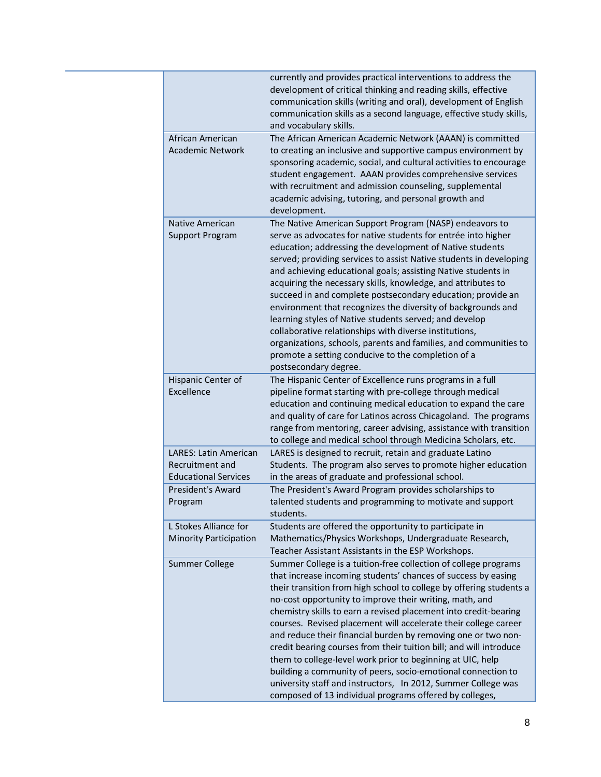|                                                                                | currently and provides practical interventions to address the<br>development of critical thinking and reading skills, effective<br>communication skills (writing and oral), development of English<br>communication skills as a second language, effective study skills,<br>and vocabulary skills.                                                                                                                                                                                                                                                                                                                                                                                                                                                                                                         |
|--------------------------------------------------------------------------------|------------------------------------------------------------------------------------------------------------------------------------------------------------------------------------------------------------------------------------------------------------------------------------------------------------------------------------------------------------------------------------------------------------------------------------------------------------------------------------------------------------------------------------------------------------------------------------------------------------------------------------------------------------------------------------------------------------------------------------------------------------------------------------------------------------|
| African American<br><b>Academic Network</b>                                    | The African American Academic Network (AAAN) is committed<br>to creating an inclusive and supportive campus environment by<br>sponsoring academic, social, and cultural activities to encourage<br>student engagement. AAAN provides comprehensive services<br>with recruitment and admission counseling, supplemental<br>academic advising, tutoring, and personal growth and<br>development.                                                                                                                                                                                                                                                                                                                                                                                                             |
| Native American<br><b>Support Program</b>                                      | The Native American Support Program (NASP) endeavors to<br>serve as advocates for native students for entrée into higher<br>education; addressing the development of Native students<br>served; providing services to assist Native students in developing<br>and achieving educational goals; assisting Native students in<br>acquiring the necessary skills, knowledge, and attributes to<br>succeed in and complete postsecondary education; provide an<br>environment that recognizes the diversity of backgrounds and<br>learning styles of Native students served; and develop<br>collaborative relationships with diverse institutions,<br>organizations, schools, parents and families, and communities to<br>promote a setting conducive to the completion of a<br>postsecondary degree.          |
| Hispanic Center of<br>Excellence                                               | The Hispanic Center of Excellence runs programs in a full<br>pipeline format starting with pre-college through medical<br>education and continuing medical education to expand the care<br>and quality of care for Latinos across Chicagoland. The programs<br>range from mentoring, career advising, assistance with transition<br>to college and medical school through Medicina Scholars, etc.                                                                                                                                                                                                                                                                                                                                                                                                          |
| <b>LARES: Latin American</b><br>Recruitment and<br><b>Educational Services</b> | LARES is designed to recruit, retain and graduate Latino<br>Students. The program also serves to promote higher education<br>in the areas of graduate and professional school.                                                                                                                                                                                                                                                                                                                                                                                                                                                                                                                                                                                                                             |
| <b>President's Award</b><br>Program                                            | The President's Award Program provides scholarships to<br>talented students and programming to motivate and support<br>students.                                                                                                                                                                                                                                                                                                                                                                                                                                                                                                                                                                                                                                                                           |
| L Stokes Alliance for<br><b>Minority Participation</b>                         | Students are offered the opportunity to participate in<br>Mathematics/Physics Workshops, Undergraduate Research,<br>Teacher Assistant Assistants in the ESP Workshops.                                                                                                                                                                                                                                                                                                                                                                                                                                                                                                                                                                                                                                     |
| Summer College                                                                 | Summer College is a tuition-free collection of college programs<br>that increase incoming students' chances of success by easing<br>their transition from high school to college by offering students a<br>no-cost opportunity to improve their writing, math, and<br>chemistry skills to earn a revised placement into credit-bearing<br>courses. Revised placement will accelerate their college career<br>and reduce their financial burden by removing one or two non-<br>credit bearing courses from their tuition bill; and will introduce<br>them to college-level work prior to beginning at UIC, help<br>building a community of peers, socio-emotional connection to<br>university staff and instructors, In 2012, Summer College was<br>composed of 13 individual programs offered by colleges, |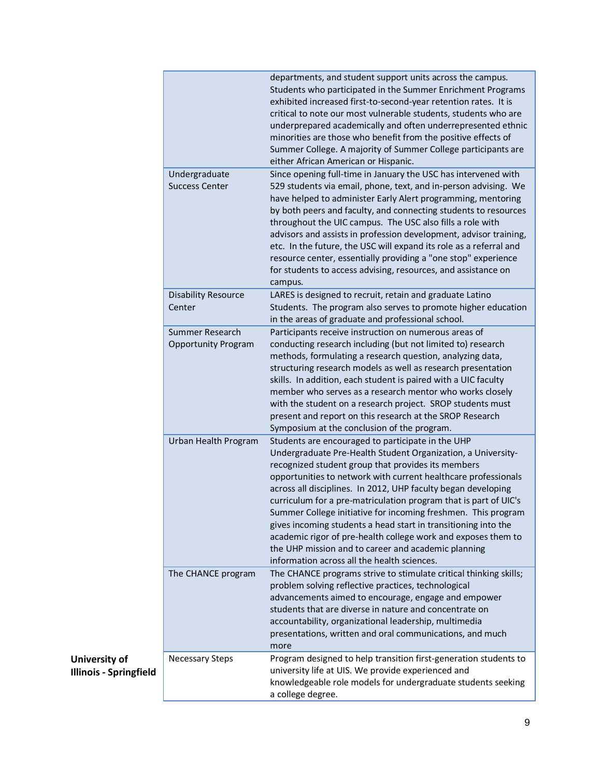| departments, and student support units across the campus.<br>Students who participated in the Summer Enrichment Programs<br>exhibited increased first-to-second-year retention rates. It is<br>critical to note our most vulnerable students, students who are<br>underprepared academically and often underrepresented ethnic<br>minorities are those who benefit from the positive effects of<br>Summer College. A majority of Summer College participants are<br>either African American or Hispanic.<br>Undergraduate<br>Since opening full-time in January the USC has intervened with<br><b>Success Center</b><br>529 students via email, phone, text, and in-person advising. We<br>have helped to administer Early Alert programming, mentoring<br>by both peers and faculty, and connecting students to resources<br>throughout the UIC campus. The USC also fills a role with<br>advisors and assists in profession development, advisor training,<br>etc. In the future, the USC will expand its role as a referral and<br>resource center, essentially providing a "one stop" experience<br>for students to access advising, resources, and assistance on<br>campus.<br><b>Disability Resource</b><br>LARES is designed to recruit, retain and graduate Latino<br>Center<br>Students. The program also serves to promote higher education<br>in the areas of graduate and professional school.<br>Summer Research<br>Participants receive instruction on numerous areas of<br><b>Opportunity Program</b><br>conducting research including (but not limited to) research<br>methods, formulating a research question, analyzing data,<br>structuring research models as well as research presentation<br>skills. In addition, each student is paired with a UIC faculty<br>member who serves as a research mentor who works closely<br>with the student on a research project. SROP students must<br>present and report on this research at the SROP Research<br>Symposium at the conclusion of the program.<br>Urban Health Program<br>Students are encouraged to participate in the UHP<br>Undergraduate Pre-Health Student Organization, a University-<br>recognized student group that provides its members<br>opportunities to network with current healthcare professionals<br>across all disciplines. In 2012, UHP faculty began developing<br>curriculum for a pre-matriculation program that is part of UIC's<br>Summer College initiative for incoming freshmen. This program<br>gives incoming students a head start in transitioning into the<br>academic rigor of pre-health college work and exposes them to<br>the UHP mission and to career and academic planning<br>information across all the health sciences.<br>The CHANCE programs strive to stimulate critical thinking skills;<br>The CHANCE program<br>problem solving reflective practices, technological<br>advancements aimed to encourage, engage and empower<br>students that are diverse in nature and concentrate on<br>accountability, organizational leadership, multimedia<br>presentations, written and oral communications, and much<br>more<br>Program designed to help transition first-generation students to<br><b>Necessary Steps</b><br>university life at UIS. We provide experienced and<br>knowledgeable role models for undergraduate students seeking<br>a college degree. |  |
|--------------------------------------------------------------------------------------------------------------------------------------------------------------------------------------------------------------------------------------------------------------------------------------------------------------------------------------------------------------------------------------------------------------------------------------------------------------------------------------------------------------------------------------------------------------------------------------------------------------------------------------------------------------------------------------------------------------------------------------------------------------------------------------------------------------------------------------------------------------------------------------------------------------------------------------------------------------------------------------------------------------------------------------------------------------------------------------------------------------------------------------------------------------------------------------------------------------------------------------------------------------------------------------------------------------------------------------------------------------------------------------------------------------------------------------------------------------------------------------------------------------------------------------------------------------------------------------------------------------------------------------------------------------------------------------------------------------------------------------------------------------------------------------------------------------------------------------------------------------------------------------------------------------------------------------------------------------------------------------------------------------------------------------------------------------------------------------------------------------------------------------------------------------------------------------------------------------------------------------------------------------------------------------------------------------------------------------------------------------------------------------------------------------------------------------------------------------------------------------------------------------------------------------------------------------------------------------------------------------------------------------------------------------------------------------------------------------------------------------------------------------------------------------------------------------------------------------------------------------------------------------------------------------------------------------------------------------------------------------------------------------------------------------------------------------------------------------------------------------------------------------------------------------------------------------------------------------------------------------------------------------------------------------------------------------------------------------------------------------------------------------|--|
|                                                                                                                                                                                                                                                                                                                                                                                                                                                                                                                                                                                                                                                                                                                                                                                                                                                                                                                                                                                                                                                                                                                                                                                                                                                                                                                                                                                                                                                                                                                                                                                                                                                                                                                                                                                                                                                                                                                                                                                                                                                                                                                                                                                                                                                                                                                                                                                                                                                                                                                                                                                                                                                                                                                                                                                                                                                                                                                                                                                                                                                                                                                                                                                                                                                                                                                                                                                      |  |
|                                                                                                                                                                                                                                                                                                                                                                                                                                                                                                                                                                                                                                                                                                                                                                                                                                                                                                                                                                                                                                                                                                                                                                                                                                                                                                                                                                                                                                                                                                                                                                                                                                                                                                                                                                                                                                                                                                                                                                                                                                                                                                                                                                                                                                                                                                                                                                                                                                                                                                                                                                                                                                                                                                                                                                                                                                                                                                                                                                                                                                                                                                                                                                                                                                                                                                                                                                                      |  |
|                                                                                                                                                                                                                                                                                                                                                                                                                                                                                                                                                                                                                                                                                                                                                                                                                                                                                                                                                                                                                                                                                                                                                                                                                                                                                                                                                                                                                                                                                                                                                                                                                                                                                                                                                                                                                                                                                                                                                                                                                                                                                                                                                                                                                                                                                                                                                                                                                                                                                                                                                                                                                                                                                                                                                                                                                                                                                                                                                                                                                                                                                                                                                                                                                                                                                                                                                                                      |  |
|                                                                                                                                                                                                                                                                                                                                                                                                                                                                                                                                                                                                                                                                                                                                                                                                                                                                                                                                                                                                                                                                                                                                                                                                                                                                                                                                                                                                                                                                                                                                                                                                                                                                                                                                                                                                                                                                                                                                                                                                                                                                                                                                                                                                                                                                                                                                                                                                                                                                                                                                                                                                                                                                                                                                                                                                                                                                                                                                                                                                                                                                                                                                                                                                                                                                                                                                                                                      |  |
|                                                                                                                                                                                                                                                                                                                                                                                                                                                                                                                                                                                                                                                                                                                                                                                                                                                                                                                                                                                                                                                                                                                                                                                                                                                                                                                                                                                                                                                                                                                                                                                                                                                                                                                                                                                                                                                                                                                                                                                                                                                                                                                                                                                                                                                                                                                                                                                                                                                                                                                                                                                                                                                                                                                                                                                                                                                                                                                                                                                                                                                                                                                                                                                                                                                                                                                                                                                      |  |
|                                                                                                                                                                                                                                                                                                                                                                                                                                                                                                                                                                                                                                                                                                                                                                                                                                                                                                                                                                                                                                                                                                                                                                                                                                                                                                                                                                                                                                                                                                                                                                                                                                                                                                                                                                                                                                                                                                                                                                                                                                                                                                                                                                                                                                                                                                                                                                                                                                                                                                                                                                                                                                                                                                                                                                                                                                                                                                                                                                                                                                                                                                                                                                                                                                                                                                                                                                                      |  |
|                                                                                                                                                                                                                                                                                                                                                                                                                                                                                                                                                                                                                                                                                                                                                                                                                                                                                                                                                                                                                                                                                                                                                                                                                                                                                                                                                                                                                                                                                                                                                                                                                                                                                                                                                                                                                                                                                                                                                                                                                                                                                                                                                                                                                                                                                                                                                                                                                                                                                                                                                                                                                                                                                                                                                                                                                                                                                                                                                                                                                                                                                                                                                                                                                                                                                                                                                                                      |  |

**University of Illinois - Springfield**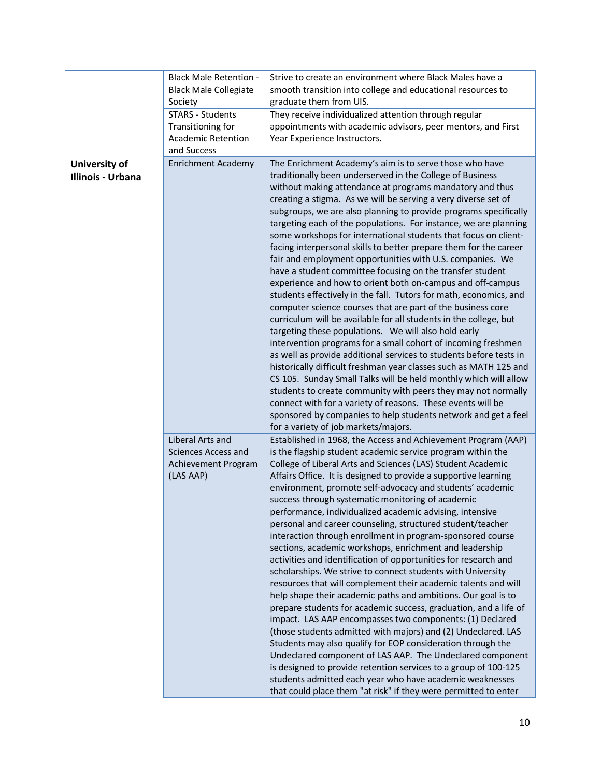|                   | <b>Black Male Retention -</b> | Strive to create an environment where Black Males have a           |
|-------------------|-------------------------------|--------------------------------------------------------------------|
|                   | <b>Black Male Collegiate</b>  | smooth transition into college and educational resources to        |
|                   | Society                       | graduate them from UIS.                                            |
|                   | <b>STARS - Students</b>       | They receive individualized attention through regular              |
|                   |                               |                                                                    |
|                   | Transitioning for             | appointments with academic advisors, peer mentors, and First       |
|                   | <b>Academic Retention</b>     | Year Experience Instructors.                                       |
|                   | and Success                   |                                                                    |
| University of     | <b>Enrichment Academy</b>     | The Enrichment Academy's aim is to serve those who have            |
| Illinois - Urbana |                               | traditionally been underserved in the College of Business          |
|                   |                               | without making attendance at programs mandatory and thus           |
|                   |                               | creating a stigma. As we will be serving a very diverse set of     |
|                   |                               | subgroups, we are also planning to provide programs specifically   |
|                   |                               | targeting each of the populations. For instance, we are planning   |
|                   |                               | some workshops for international students that focus on client-    |
|                   |                               | facing interpersonal skills to better prepare them for the career  |
|                   |                               | fair and employment opportunities with U.S. companies. We          |
|                   |                               | have a student committee focusing on the transfer student          |
|                   |                               | experience and how to orient both on-campus and off-campus         |
|                   |                               |                                                                    |
|                   |                               | students effectively in the fall. Tutors for math, economics, and  |
|                   |                               | computer science courses that are part of the business core        |
|                   |                               | curriculum will be available for all students in the college, but  |
|                   |                               | targeting these populations. We will also hold early               |
|                   |                               | intervention programs for a small cohort of incoming freshmen      |
|                   |                               | as well as provide additional services to students before tests in |
|                   |                               | historically difficult freshman year classes such as MATH 125 and  |
|                   |                               | CS 105. Sunday Small Talks will be held monthly which will allow   |
|                   |                               | students to create community with peers they may not normally      |
|                   |                               | connect with for a variety of reasons. These events will be        |
|                   |                               | sponsored by companies to help students network and get a feel     |
|                   |                               | for a variety of job markets/majors.                               |
|                   | Liberal Arts and              | Established in 1968, the Access and Achievement Program (AAP)      |
|                   | <b>Sciences Access and</b>    | is the flagship student academic service program within the        |
|                   | Achievement Program           | College of Liberal Arts and Sciences (LAS) Student Academic        |
|                   | (LAS AAP)                     | Affairs Office. It is designed to provide a supportive learning    |
|                   |                               | environment, promote self-advocacy and students' academic          |
|                   |                               | success through systematic monitoring of academic                  |
|                   |                               | performance, individualized academic advising, intensive           |
|                   |                               | personal and career counseling, structured student/teacher         |
|                   |                               | interaction through enrollment in program-sponsored course         |
|                   |                               | sections, academic workshops, enrichment and leadership            |
|                   |                               |                                                                    |
|                   |                               | activities and identification of opportunities for research and    |
|                   |                               | scholarships. We strive to connect students with University        |
|                   |                               | resources that will complement their academic talents and will     |
|                   |                               | help shape their academic paths and ambitions. Our goal is to      |
|                   |                               | prepare students for academic success, graduation, and a life of   |
|                   |                               | impact. LAS AAP encompasses two components: (1) Declared           |
|                   |                               | (those students admitted with majors) and (2) Undeclared. LAS      |
|                   |                               | Students may also qualify for EOP consideration through the        |
|                   |                               | Undeclared component of LAS AAP. The Undeclared component          |
|                   |                               | is designed to provide retention services to a group of 100-125    |
|                   |                               | students admitted each year who have academic weaknesses           |
|                   |                               | that could place them "at risk" if they were permitted to enter    |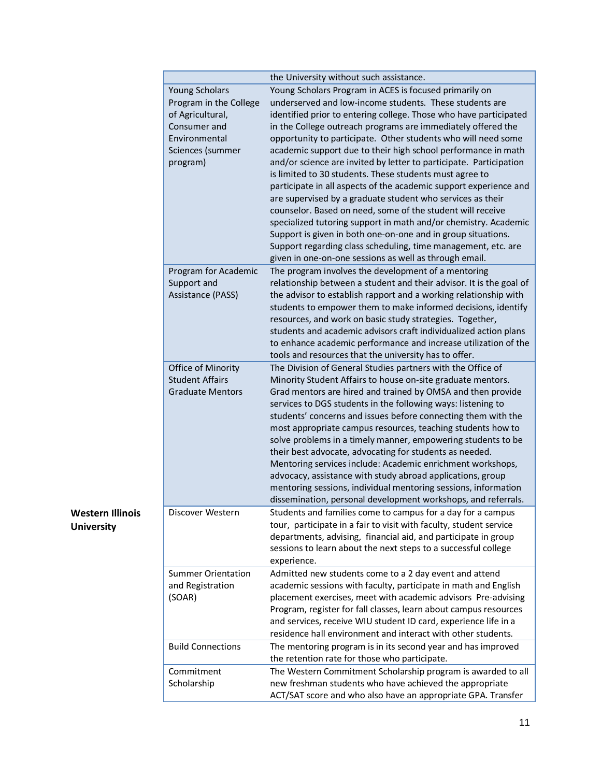|                         |                           | the University without such assistance.                             |
|-------------------------|---------------------------|---------------------------------------------------------------------|
|                         | <b>Young Scholars</b>     | Young Scholars Program in ACES is focused primarily on              |
|                         | Program in the College    | underserved and low-income students. These students are             |
|                         | of Agricultural,          | identified prior to entering college. Those who have participated   |
|                         | Consumer and              | in the College outreach programs are immediately offered the        |
|                         | Environmental             | opportunity to participate. Other students who will need some       |
|                         | Sciences (summer          | academic support due to their high school performance in math       |
|                         | program)                  | and/or science are invited by letter to participate. Participation  |
|                         |                           | is limited to 30 students. These students must agree to             |
|                         |                           | participate in all aspects of the academic support experience and   |
|                         |                           | are supervised by a graduate student who services as their          |
|                         |                           | counselor. Based on need, some of the student will receive          |
|                         |                           | specialized tutoring support in math and/or chemistry. Academic     |
|                         |                           | Support is given in both one-on-one and in group situations.        |
|                         |                           | Support regarding class scheduling, time management, etc. are       |
|                         |                           | given in one-on-one sessions as well as through email.              |
|                         |                           |                                                                     |
|                         | Program for Academic      | The program involves the development of a mentoring                 |
|                         | Support and               | relationship between a student and their advisor. It is the goal of |
|                         | Assistance (PASS)         | the advisor to establish rapport and a working relationship with    |
|                         |                           | students to empower them to make informed decisions, identify       |
|                         |                           | resources, and work on basic study strategies. Together,            |
|                         |                           | students and academic advisors craft individualized action plans    |
|                         |                           | to enhance academic performance and increase utilization of the     |
|                         |                           | tools and resources that the university has to offer.               |
|                         | Office of Minority        | The Division of General Studies partners with the Office of         |
|                         | <b>Student Affairs</b>    | Minority Student Affairs to house on-site graduate mentors.         |
|                         | <b>Graduate Mentors</b>   | Grad mentors are hired and trained by OMSA and then provide         |
|                         |                           | services to DGS students in the following ways: listening to        |
|                         |                           | students' concerns and issues before connecting them with the       |
|                         |                           | most appropriate campus resources, teaching students how to         |
|                         |                           | solve problems in a timely manner, empowering students to be        |
|                         |                           | their best advocate, advocating for students as needed.             |
|                         |                           | Mentoring services include: Academic enrichment workshops,          |
|                         |                           | advocacy, assistance with study abroad applications, group          |
|                         |                           | mentoring sessions, individual mentoring sessions, information      |
|                         |                           | dissemination, personal development workshops, and referrals.       |
| <b>Western Illinois</b> | Discover Western          | Students and families come to campus for a day for a campus         |
| <b>University</b>       |                           | tour, participate in a fair to visit with faculty, student service  |
|                         |                           | departments, advising, financial aid, and participate in group      |
|                         |                           | sessions to learn about the next steps to a successful college      |
|                         |                           | experience.                                                         |
|                         | <b>Summer Orientation</b> | Admitted new students come to a 2 day event and attend              |
|                         | and Registration          | academic sessions with faculty, participate in math and English     |
|                         | (SOAR)                    | placement exercises, meet with academic advisors Pre-advising       |
|                         |                           | Program, register for fall classes, learn about campus resources    |
|                         |                           | and services, receive WIU student ID card, experience life in a     |
|                         |                           | residence hall environment and interact with other students.        |
|                         | <b>Build Connections</b>  | The mentoring program is in its second year and has improved        |
|                         |                           | the retention rate for those who participate.                       |
|                         | Commitment                | The Western Commitment Scholarship program is awarded to all        |
|                         | Scholarship               | new freshman students who have achieved the appropriate             |
|                         |                           | ACT/SAT score and who also have an appropriate GPA. Transfer        |
|                         |                           |                                                                     |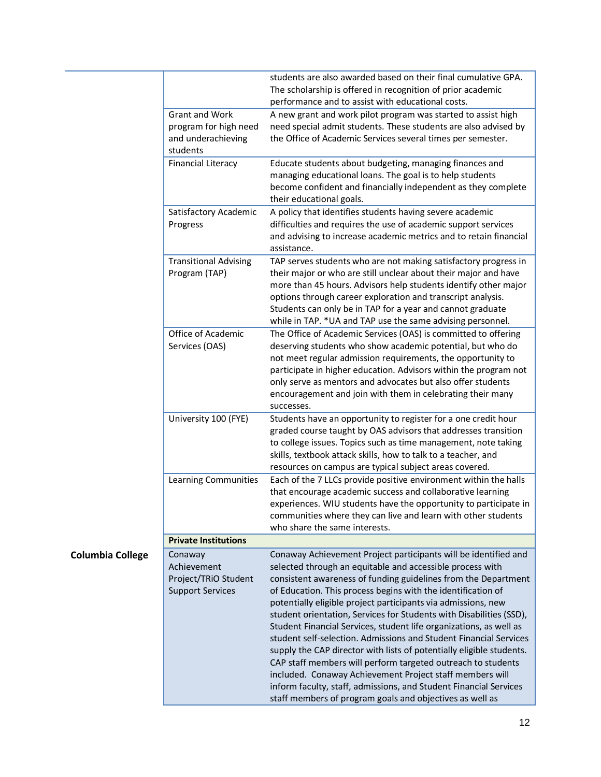|                         |                                | students are also awarded based on their final cumulative GPA.<br>The scholarship is offered in recognition of prior academic           |
|-------------------------|--------------------------------|-----------------------------------------------------------------------------------------------------------------------------------------|
|                         |                                | performance and to assist with educational costs.                                                                                       |
|                         | <b>Grant and Work</b>          | A new grant and work pilot program was started to assist high                                                                           |
|                         | program for high need          | need special admit students. These students are also advised by                                                                         |
|                         | and underachieving<br>students | the Office of Academic Services several times per semester.                                                                             |
|                         | <b>Financial Literacy</b>      | Educate students about budgeting, managing finances and                                                                                 |
|                         |                                | managing educational loans. The goal is to help students                                                                                |
|                         |                                | become confident and financially independent as they complete                                                                           |
|                         |                                | their educational goals.                                                                                                                |
|                         | Satisfactory Academic          | A policy that identifies students having severe academic                                                                                |
|                         | Progress                       | difficulties and requires the use of academic support services                                                                          |
|                         |                                | and advising to increase academic metrics and to retain financial<br>assistance.                                                        |
|                         | <b>Transitional Advising</b>   | TAP serves students who are not making satisfactory progress in                                                                         |
|                         | Program (TAP)                  | their major or who are still unclear about their major and have                                                                         |
|                         |                                | more than 45 hours. Advisors help students identify other major                                                                         |
|                         |                                | options through career exploration and transcript analysis.                                                                             |
|                         |                                | Students can only be in TAP for a year and cannot graduate                                                                              |
|                         |                                | while in TAP. * UA and TAP use the same advising personnel.                                                                             |
|                         | Office of Academic             | The Office of Academic Services (OAS) is committed to offering                                                                          |
|                         | Services (OAS)                 | deserving students who show academic potential, but who do                                                                              |
|                         |                                | not meet regular admission requirements, the opportunity to                                                                             |
|                         |                                | participate in higher education. Advisors within the program not                                                                        |
|                         |                                | only serve as mentors and advocates but also offer students                                                                             |
|                         |                                | encouragement and join with them in celebrating their many<br>successes.                                                                |
|                         | University 100 (FYE)           | Students have an opportunity to register for a one credit hour                                                                          |
|                         |                                | graded course taught by OAS advisors that addresses transition                                                                          |
|                         |                                | to college issues. Topics such as time management, note taking                                                                          |
|                         |                                | skills, textbook attack skills, how to talk to a teacher, and                                                                           |
|                         |                                | resources on campus are typical subject areas covered.                                                                                  |
|                         | Learning Communities           | Each of the 7 LLCs provide positive environment within the halls                                                                        |
|                         |                                | that encourage academic success and collaborative learning                                                                              |
|                         |                                | experiences. WIU students have the opportunity to participate in                                                                        |
|                         |                                | communities where they can live and learn with other students                                                                           |
|                         |                                | who share the same interests.                                                                                                           |
|                         | <b>Private Institutions</b>    |                                                                                                                                         |
| <b>Columbia College</b> | Conaway                        | Conaway Achievement Project participants will be identified and                                                                         |
|                         | Achievement                    | selected through an equitable and accessible process with                                                                               |
|                         | Project/TRiO Student           | consistent awareness of funding guidelines from the Department                                                                          |
|                         | <b>Support Services</b>        | of Education. This process begins with the identification of                                                                            |
|                         |                                | potentially eligible project participants via admissions, new                                                                           |
|                         |                                | student orientation, Services for Students with Disabilities (SSD),                                                                     |
|                         |                                | Student Financial Services, student life organizations, as well as<br>student self-selection. Admissions and Student Financial Services |
|                         |                                | supply the CAP director with lists of potentially eligible students.                                                                    |
|                         |                                | CAP staff members will perform targeted outreach to students                                                                            |
|                         |                                | included. Conaway Achievement Project staff members will                                                                                |
|                         |                                | inform faculty, staff, admissions, and Student Financial Services                                                                       |
|                         |                                | staff members of program goals and objectives as well as                                                                                |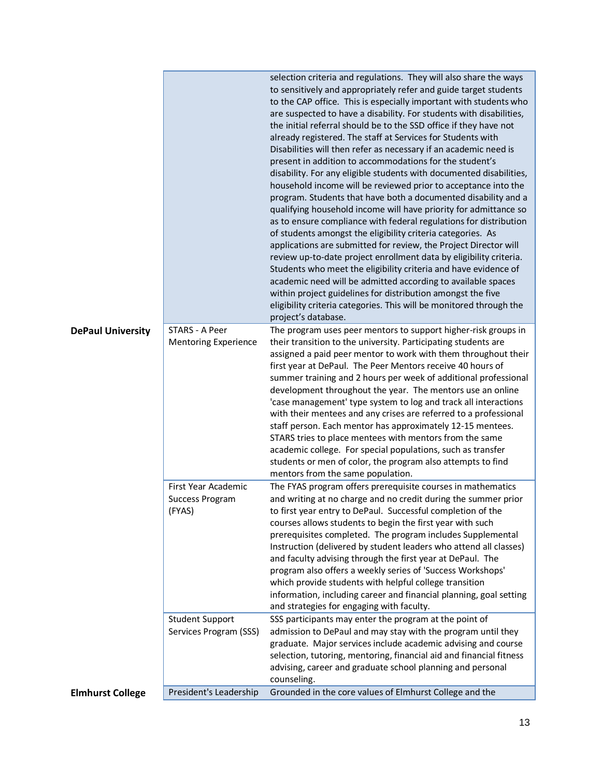|                          |                                                         | selection criteria and regulations. They will also share the ways<br>to sensitively and appropriately refer and guide target students<br>to the CAP office. This is especially important with students who<br>are suspected to have a disability. For students with disabilities,<br>the initial referral should be to the SSD office if they have not<br>already registered. The staff at Services for Students with<br>Disabilities will then refer as necessary if an academic need is<br>present in addition to accommodations for the student's<br>disability. For any eligible students with documented disabilities,<br>household income will be reviewed prior to acceptance into the<br>program. Students that have both a documented disability and a<br>qualifying household income will have priority for admittance so<br>as to ensure compliance with federal regulations for distribution<br>of students amongst the eligibility criteria categories. As<br>applications are submitted for review, the Project Director will<br>review up-to-date project enrollment data by eligibility criteria.<br>Students who meet the eligibility criteria and have evidence of<br>academic need will be admitted according to available spaces<br>within project guidelines for distribution amongst the five<br>eligibility criteria categories. This will be monitored through the<br>project's database. |
|--------------------------|---------------------------------------------------------|-------------------------------------------------------------------------------------------------------------------------------------------------------------------------------------------------------------------------------------------------------------------------------------------------------------------------------------------------------------------------------------------------------------------------------------------------------------------------------------------------------------------------------------------------------------------------------------------------------------------------------------------------------------------------------------------------------------------------------------------------------------------------------------------------------------------------------------------------------------------------------------------------------------------------------------------------------------------------------------------------------------------------------------------------------------------------------------------------------------------------------------------------------------------------------------------------------------------------------------------------------------------------------------------------------------------------------------------------------------------------------------------------------------------|
| <b>DePaul University</b> | STARS - A Peer<br><b>Mentoring Experience</b>           | The program uses peer mentors to support higher-risk groups in<br>their transition to the university. Participating students are<br>assigned a paid peer mentor to work with them throughout their<br>first year at DePaul. The Peer Mentors receive 40 hours of<br>summer training and 2 hours per week of additional professional<br>development throughout the year. The mentors use an online<br>'case management' type system to log and track all interactions<br>with their mentees and any crises are referred to a professional<br>staff person. Each mentor has approximately 12-15 mentees.<br>STARS tries to place mentees with mentors from the same<br>academic college. For special populations, such as transfer<br>students or men of color, the program also attempts to find                                                                                                                                                                                                                                                                                                                                                                                                                                                                                                                                                                                                                   |
|                          | First Year Academic<br><b>Success Program</b><br>(FYAS) | mentors from the same population.<br>The FYAS program offers prerequisite courses in mathematics<br>and writing at no charge and no credit during the summer prior<br>to first year entry to DePaul. Successful completion of the<br>courses allows students to begin the first year with such<br>prerequisites completed. The program includes Supplemental<br>Instruction (delivered by student leaders who attend all classes)<br>and faculty advising through the first year at DePaul. The<br>program also offers a weekly series of 'Success Workshops'<br>which provide students with helpful college transition<br>information, including career and financial planning, goal setting<br>and strategies for engaging with faculty.                                                                                                                                                                                                                                                                                                                                                                                                                                                                                                                                                                                                                                                                        |
|                          | <b>Student Support</b><br>Services Program (SSS)        | SSS participants may enter the program at the point of<br>admission to DePaul and may stay with the program until they<br>graduate. Major services include academic advising and course<br>selection, tutoring, mentoring, financial aid and financial fitness<br>advising, career and graduate school planning and personal<br>counseling.                                                                                                                                                                                                                                                                                                                                                                                                                                                                                                                                                                                                                                                                                                                                                                                                                                                                                                                                                                                                                                                                       |
| <b>Elmhurst College</b>  | President's Leadership                                  | Grounded in the core values of Elmhurst College and the                                                                                                                                                                                                                                                                                                                                                                                                                                                                                                                                                                                                                                                                                                                                                                                                                                                                                                                                                                                                                                                                                                                                                                                                                                                                                                                                                           |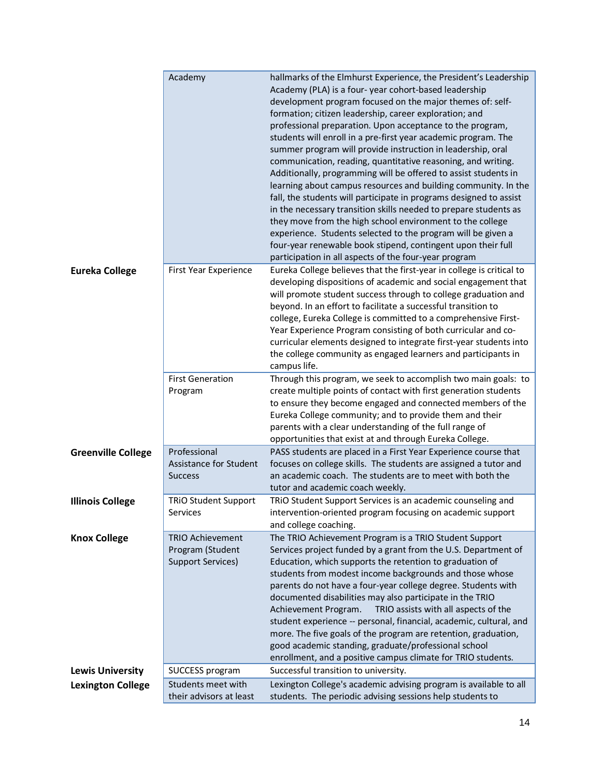|                           | Academy                                                                 | hallmarks of the Elmhurst Experience, the President's Leadership<br>Academy (PLA) is a four-year cohort-based leadership<br>development program focused on the major themes of: self-<br>formation; citizen leadership, career exploration; and<br>professional preparation. Upon acceptance to the program,<br>students will enroll in a pre-first year academic program. The<br>summer program will provide instruction in leadership, oral<br>communication, reading, quantitative reasoning, and writing.<br>Additionally, programming will be offered to assist students in<br>learning about campus resources and building community. In the<br>fall, the students will participate in programs designed to assist<br>in the necessary transition skills needed to prepare students as<br>they move from the high school environment to the college<br>experience. Students selected to the program will be given a<br>four-year renewable book stipend, contingent upon their full<br>participation in all aspects of the four-year program |
|---------------------------|-------------------------------------------------------------------------|----------------------------------------------------------------------------------------------------------------------------------------------------------------------------------------------------------------------------------------------------------------------------------------------------------------------------------------------------------------------------------------------------------------------------------------------------------------------------------------------------------------------------------------------------------------------------------------------------------------------------------------------------------------------------------------------------------------------------------------------------------------------------------------------------------------------------------------------------------------------------------------------------------------------------------------------------------------------------------------------------------------------------------------------------|
| <b>Eureka College</b>     | <b>First Year Experience</b>                                            | Eureka College believes that the first-year in college is critical to<br>developing dispositions of academic and social engagement that<br>will promote student success through to college graduation and<br>beyond. In an effort to facilitate a successful transition to<br>college, Eureka College is committed to a comprehensive First-<br>Year Experience Program consisting of both curricular and co-<br>curricular elements designed to integrate first-year students into<br>the college community as engaged learners and participants in<br>campus life.                                                                                                                                                                                                                                                                                                                                                                                                                                                                               |
|                           | <b>First Generation</b><br>Program                                      | Through this program, we seek to accomplish two main goals: to<br>create multiple points of contact with first generation students<br>to ensure they become engaged and connected members of the<br>Eureka College community; and to provide them and their<br>parents with a clear understanding of the full range of<br>opportunities that exist at and through Eureka College.                                                                                                                                                                                                                                                                                                                                                                                                                                                                                                                                                                                                                                                                  |
| <b>Greenville College</b> | Professional<br><b>Assistance for Student</b><br><b>Success</b>         | PASS students are placed in a First Year Experience course that<br>focuses on college skills. The students are assigned a tutor and<br>an academic coach. The students are to meet with both the<br>tutor and academic coach weekly.                                                                                                                                                                                                                                                                                                                                                                                                                                                                                                                                                                                                                                                                                                                                                                                                               |
| <b>Illinois College</b>   | <b>TRIO Student Support</b><br>Services                                 | TRIO Student Support Services is an academic counseling and<br>intervention-oriented program focusing on academic support<br>and college coaching.                                                                                                                                                                                                                                                                                                                                                                                                                                                                                                                                                                                                                                                                                                                                                                                                                                                                                                 |
| <b>Knox College</b>       | <b>TRIO Achievement</b><br>Program (Student<br><b>Support Services)</b> | The TRIO Achievement Program is a TRIO Student Support<br>Services project funded by a grant from the U.S. Department of<br>Education, which supports the retention to graduation of<br>students from modest income backgrounds and those whose<br>parents do not have a four-year college degree. Students with<br>documented disabilities may also participate in the TRIO<br>TRIO assists with all aspects of the<br>Achievement Program.<br>student experience -- personal, financial, academic, cultural, and<br>more. The five goals of the program are retention, graduation,<br>good academic standing, graduate/professional school<br>enrollment, and a positive campus climate for TRIO students.                                                                                                                                                                                                                                                                                                                                       |
| <b>Lewis University</b>   | SUCCESS program                                                         | Successful transition to university.                                                                                                                                                                                                                                                                                                                                                                                                                                                                                                                                                                                                                                                                                                                                                                                                                                                                                                                                                                                                               |
| <b>Lexington College</b>  | Students meet with<br>their advisors at least                           | Lexington College's academic advising program is available to all<br>students. The periodic advising sessions help students to                                                                                                                                                                                                                                                                                                                                                                                                                                                                                                                                                                                                                                                                                                                                                                                                                                                                                                                     |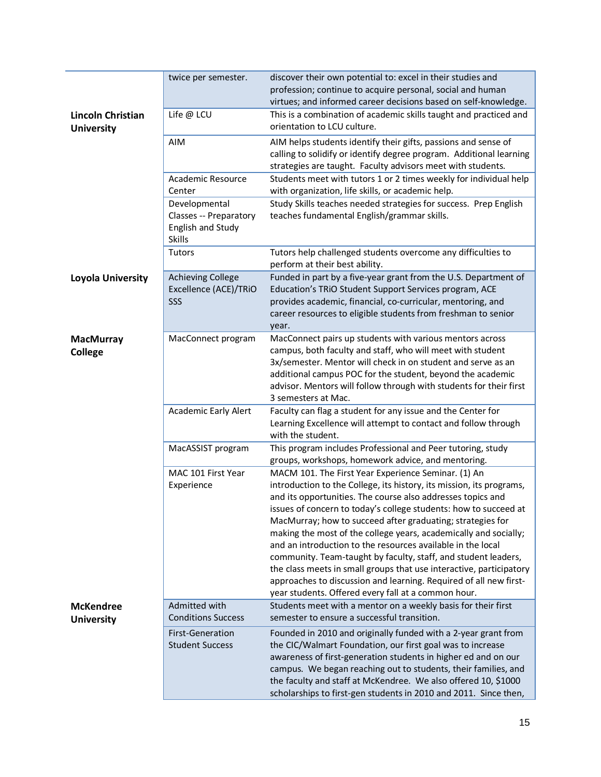|                                        | twice per semester.                                                           | discover their own potential to: excel in their studies and<br>profession; continue to acquire personal, social and human<br>virtues; and informed career decisions based on self-knowledge.                                                                                                                                                                                                                                                                                                                                                                                                                                                                                                                                         |
|----------------------------------------|-------------------------------------------------------------------------------|--------------------------------------------------------------------------------------------------------------------------------------------------------------------------------------------------------------------------------------------------------------------------------------------------------------------------------------------------------------------------------------------------------------------------------------------------------------------------------------------------------------------------------------------------------------------------------------------------------------------------------------------------------------------------------------------------------------------------------------|
| Lincoln Christian<br><b>University</b> | Life @ LCU                                                                    | This is a combination of academic skills taught and practiced and<br>orientation to LCU culture.                                                                                                                                                                                                                                                                                                                                                                                                                                                                                                                                                                                                                                     |
|                                        | <b>AIM</b>                                                                    | AIM helps students identify their gifts, passions and sense of<br>calling to solidify or identify degree program. Additional learning<br>strategies are taught. Faculty advisors meet with students.                                                                                                                                                                                                                                                                                                                                                                                                                                                                                                                                 |
|                                        | <b>Academic Resource</b><br>Center                                            | Students meet with tutors 1 or 2 times weekly for individual help<br>with organization, life skills, or academic help.                                                                                                                                                                                                                                                                                                                                                                                                                                                                                                                                                                                                               |
|                                        | Developmental<br>Classes -- Preparatory<br>English and Study<br><b>Skills</b> | Study Skills teaches needed strategies for success. Prep English<br>teaches fundamental English/grammar skills.                                                                                                                                                                                                                                                                                                                                                                                                                                                                                                                                                                                                                      |
|                                        | <b>Tutors</b>                                                                 | Tutors help challenged students overcome any difficulties to<br>perform at their best ability.                                                                                                                                                                                                                                                                                                                                                                                                                                                                                                                                                                                                                                       |
| Loyola University                      | <b>Achieving College</b><br>Excellence (ACE)/TRiO<br>SSS                      | Funded in part by a five-year grant from the U.S. Department of<br>Education's TRiO Student Support Services program, ACE<br>provides academic, financial, co-curricular, mentoring, and<br>career resources to eligible students from freshman to senior<br>year.                                                                                                                                                                                                                                                                                                                                                                                                                                                                   |
| <b>MacMurray</b><br><b>College</b>     | MacConnect program                                                            | MacConnect pairs up students with various mentors across<br>campus, both faculty and staff, who will meet with student<br>3x/semester. Mentor will check in on student and serve as an<br>additional campus POC for the student, beyond the academic<br>advisor. Mentors will follow through with students for their first<br>3 semesters at Mac.                                                                                                                                                                                                                                                                                                                                                                                    |
|                                        | <b>Academic Early Alert</b>                                                   | Faculty can flag a student for any issue and the Center for<br>Learning Excellence will attempt to contact and follow through<br>with the student.                                                                                                                                                                                                                                                                                                                                                                                                                                                                                                                                                                                   |
|                                        | MacASSIST program                                                             | This program includes Professional and Peer tutoring, study<br>groups, workshops, homework advice, and mentoring.                                                                                                                                                                                                                                                                                                                                                                                                                                                                                                                                                                                                                    |
|                                        | MAC 101 First Year<br>Experience                                              | MACM 101. The First Year Experience Seminar. (1) An<br>introduction to the College, its history, its mission, its programs,<br>and its opportunities. The course also addresses topics and<br>issues of concern to today's college students: how to succeed at<br>MacMurray; how to succeed after graduating; strategies for<br>making the most of the college years, academically and socially;<br>and an introduction to the resources available in the local<br>community. Team-taught by faculty, staff, and student leaders,<br>the class meets in small groups that use interactive, participatory<br>approaches to discussion and learning. Required of all new first-<br>year students. Offered every fall at a common hour. |
| <b>McKendree</b><br><b>University</b>  | Admitted with<br><b>Conditions Success</b>                                    | Students meet with a mentor on a weekly basis for their first<br>semester to ensure a successful transition.                                                                                                                                                                                                                                                                                                                                                                                                                                                                                                                                                                                                                         |
|                                        | First-Generation<br><b>Student Success</b>                                    | Founded in 2010 and originally funded with a 2-year grant from<br>the CIC/Walmart Foundation, our first goal was to increase<br>awareness of first-generation students in higher ed and on our<br>campus. We began reaching out to students, their families, and<br>the faculty and staff at McKendree. We also offered 10, \$1000<br>scholarships to first-gen students in 2010 and 2011. Since then,                                                                                                                                                                                                                                                                                                                               |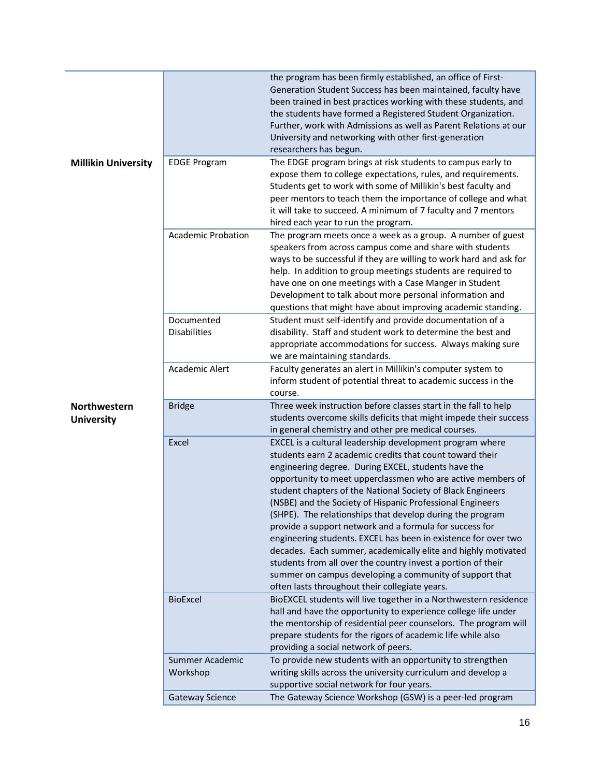|                                          |                                   | the program has been firmly established, an office of First-<br>Generation Student Success has been maintained, faculty have<br>been trained in best practices working with these students, and<br>the students have formed a Registered Student Organization.<br>Further, work with Admissions as well as Parent Relations at our<br>University and networking with other first-generation<br>researchers has begun.                                                                                                                                                                                                                                                                                                                                                                                          |
|------------------------------------------|-----------------------------------|----------------------------------------------------------------------------------------------------------------------------------------------------------------------------------------------------------------------------------------------------------------------------------------------------------------------------------------------------------------------------------------------------------------------------------------------------------------------------------------------------------------------------------------------------------------------------------------------------------------------------------------------------------------------------------------------------------------------------------------------------------------------------------------------------------------|
| <b>Millikin University</b>               | <b>EDGE Program</b>               | The EDGE program brings at risk students to campus early to                                                                                                                                                                                                                                                                                                                                                                                                                                                                                                                                                                                                                                                                                                                                                    |
|                                          |                                   | expose them to college expectations, rules, and requirements.<br>Students get to work with some of Millikin's best faculty and<br>peer mentors to teach them the importance of college and what<br>it will take to succeed. A minimum of 7 faculty and 7 mentors<br>hired each year to run the program.                                                                                                                                                                                                                                                                                                                                                                                                                                                                                                        |
|                                          | <b>Academic Probation</b>         | The program meets once a week as a group. A number of guest<br>speakers from across campus come and share with students<br>ways to be successful if they are willing to work hard and ask for<br>help. In addition to group meetings students are required to<br>have one on one meetings with a Case Manger in Student<br>Development to talk about more personal information and<br>questions that might have about improving academic standing.                                                                                                                                                                                                                                                                                                                                                             |
|                                          | Documented<br><b>Disabilities</b> | Student must self-identify and provide documentation of a<br>disability. Staff and student work to determine the best and<br>appropriate accommodations for success. Always making sure<br>we are maintaining standards.                                                                                                                                                                                                                                                                                                                                                                                                                                                                                                                                                                                       |
|                                          | Academic Alert                    | Faculty generates an alert in Millikin's computer system to<br>inform student of potential threat to academic success in the<br>course.                                                                                                                                                                                                                                                                                                                                                                                                                                                                                                                                                                                                                                                                        |
| <b>Northwestern</b><br><b>University</b> | <b>Bridge</b>                     | Three week instruction before classes start in the fall to help<br>students overcome skills deficits that might impede their success<br>in general chemistry and other pre medical courses.                                                                                                                                                                                                                                                                                                                                                                                                                                                                                                                                                                                                                    |
|                                          | Excel                             | EXCEL is a cultural leadership development program where<br>students earn 2 academic credits that count toward their<br>engineering degree. During EXCEL, students have the<br>opportunity to meet upperclassmen who are active members of<br>student chapters of the National Society of Black Engineers<br>(NSBE) and the Society of Hispanic Professional Engineers<br>(SHPE). The relationships that develop during the program<br>provide a support network and a formula for success for<br>engineering students. EXCEL has been in existence for over two<br>decades. Each summer, academically elite and highly motivated<br>students from all over the country invest a portion of their<br>summer on campus developing a community of support that<br>often lasts throughout their collegiate years. |
|                                          | <b>BioExcel</b>                   | BioEXCEL students will live together in a Northwestern residence<br>hall and have the opportunity to experience college life under<br>the mentorship of residential peer counselors. The program will<br>prepare students for the rigors of academic life while also<br>providing a social network of peers.                                                                                                                                                                                                                                                                                                                                                                                                                                                                                                   |
|                                          | Summer Academic<br>Workshop       | To provide new students with an opportunity to strengthen<br>writing skills across the university curriculum and develop a<br>supportive social network for four years.                                                                                                                                                                                                                                                                                                                                                                                                                                                                                                                                                                                                                                        |
|                                          | Gateway Science                   | The Gateway Science Workshop (GSW) is a peer-led program                                                                                                                                                                                                                                                                                                                                                                                                                                                                                                                                                                                                                                                                                                                                                       |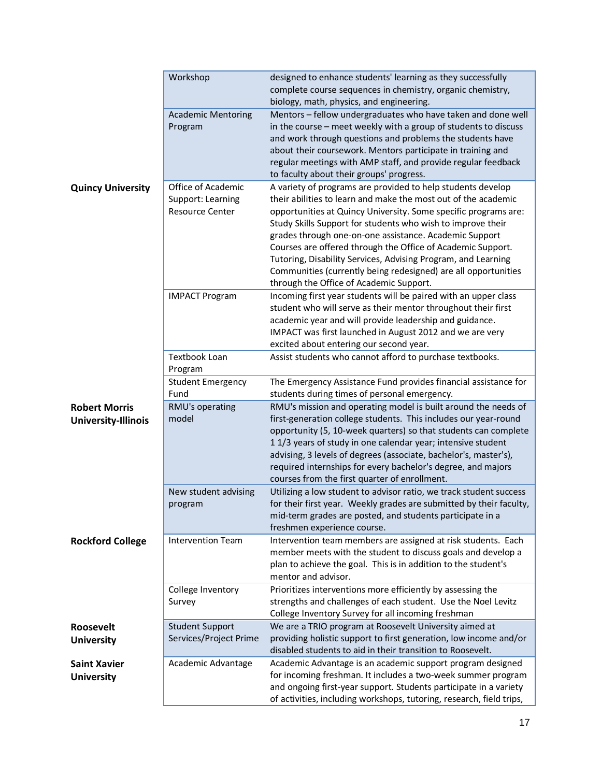|                            | Workshop                             | designed to enhance students' learning as they successfully                                                                     |
|----------------------------|--------------------------------------|---------------------------------------------------------------------------------------------------------------------------------|
|                            |                                      | complete course sequences in chemistry, organic chemistry,                                                                      |
|                            |                                      | biology, math, physics, and engineering.                                                                                        |
|                            | <b>Academic Mentoring</b><br>Program | Mentors - fellow undergraduates who have taken and done well<br>in the course - meet weekly with a group of students to discuss |
|                            |                                      | and work through questions and problems the students have                                                                       |
|                            |                                      | about their coursework. Mentors participate in training and                                                                     |
|                            |                                      | regular meetings with AMP staff, and provide regular feedback                                                                   |
|                            |                                      | to faculty about their groups' progress.                                                                                        |
| <b>Quincy University</b>   | Office of Academic                   | A variety of programs are provided to help students develop                                                                     |
|                            | Support: Learning                    | their abilities to learn and make the most out of the academic                                                                  |
|                            | <b>Resource Center</b>               | opportunities at Quincy University. Some specific programs are:                                                                 |
|                            |                                      | Study Skills Support for students who wish to improve their                                                                     |
|                            |                                      | grades through one-on-one assistance. Academic Support                                                                          |
|                            |                                      | Courses are offered through the Office of Academic Support.                                                                     |
|                            |                                      | Tutoring, Disability Services, Advising Program, and Learning                                                                   |
|                            |                                      | Communities (currently being redesigned) are all opportunities<br>through the Office of Academic Support.                       |
|                            | <b>IMPACT Program</b>                | Incoming first year students will be paired with an upper class                                                                 |
|                            |                                      | student who will serve as their mentor throughout their first                                                                   |
|                            |                                      | academic year and will provide leadership and guidance.                                                                         |
|                            |                                      | IMPACT was first launched in August 2012 and we are very                                                                        |
|                            |                                      | excited about entering our second year.                                                                                         |
|                            | Textbook Loan                        | Assist students who cannot afford to purchase textbooks.                                                                        |
|                            | Program                              |                                                                                                                                 |
|                            | <b>Student Emergency</b>             | The Emergency Assistance Fund provides financial assistance for                                                                 |
|                            | Fund                                 | students during times of personal emergency.                                                                                    |
| <b>Robert Morris</b>       | RMU's operating                      | RMU's mission and operating model is built around the needs of                                                                  |
| <b>University-Illinois</b> | model                                | first-generation college students. This includes our year-round                                                                 |
|                            |                                      | opportunity (5, 10-week quarters) so that students can complete<br>11/3 years of study in one calendar year; intensive student  |
|                            |                                      | advising, 3 levels of degrees (associate, bachelor's, master's),                                                                |
|                            |                                      | required internships for every bachelor's degree, and majors                                                                    |
|                            |                                      | courses from the first quarter of enrollment.                                                                                   |
|                            | New student advising                 | Utilizing a low student to advisor ratio, we track student success                                                              |
|                            | program                              | for their first year. Weekly grades are submitted by their faculty,                                                             |
|                            |                                      | mid-term grades are posted, and students participate in a                                                                       |
|                            |                                      | freshmen experience course.                                                                                                     |
| <b>Rockford College</b>    | <b>Intervention Team</b>             | Intervention team members are assigned at risk students. Each                                                                   |
|                            |                                      | member meets with the student to discuss goals and develop a                                                                    |
|                            |                                      | plan to achieve the goal. This is in addition to the student's                                                                  |
|                            |                                      | mentor and advisor.                                                                                                             |
|                            | College Inventory                    | Prioritizes interventions more efficiently by assessing the                                                                     |
|                            | Survey                               | strengths and challenges of each student. Use the Noel Levitz<br>College Inventory Survey for all incoming freshman             |
| <b>Roosevelt</b>           | <b>Student Support</b>               | We are a TRIO program at Roosevelt University aimed at                                                                          |
| <b>University</b>          | Services/Project Prime               | providing holistic support to first generation, low income and/or                                                               |
|                            |                                      | disabled students to aid in their transition to Roosevelt.                                                                      |
| <b>Saint Xavier</b>        | Academic Advantage                   | Academic Advantage is an academic support program designed                                                                      |
| <b>University</b>          |                                      | for incoming freshman. It includes a two-week summer program                                                                    |
|                            |                                      | and ongoing first-year support. Students participate in a variety                                                               |
|                            |                                      | of activities, including workshops, tutoring, research, field trips,                                                            |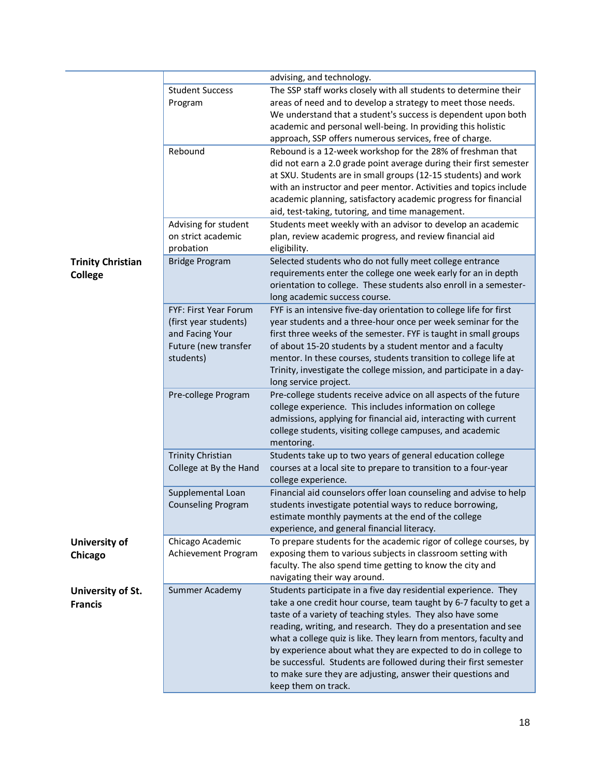|                                            |                                                                                                        | advising, and technology.                                                                                                                                                                                                                                                                                                                                                                                                                                                                                                                                              |
|--------------------------------------------|--------------------------------------------------------------------------------------------------------|------------------------------------------------------------------------------------------------------------------------------------------------------------------------------------------------------------------------------------------------------------------------------------------------------------------------------------------------------------------------------------------------------------------------------------------------------------------------------------------------------------------------------------------------------------------------|
|                                            | <b>Student Success</b><br>Program                                                                      | The SSP staff works closely with all students to determine their<br>areas of need and to develop a strategy to meet those needs.<br>We understand that a student's success is dependent upon both<br>academic and personal well-being. In providing this holistic<br>approach, SSP offers numerous services, free of charge.                                                                                                                                                                                                                                           |
|                                            | Rebound                                                                                                | Rebound is a 12-week workshop for the 28% of freshman that<br>did not earn a 2.0 grade point average during their first semester<br>at SXU. Students are in small groups (12-15 students) and work<br>with an instructor and peer mentor. Activities and topics include<br>academic planning, satisfactory academic progress for financial<br>aid, test-taking, tutoring, and time management.                                                                                                                                                                         |
|                                            | Advising for student<br>on strict academic<br>probation                                                | Students meet weekly with an advisor to develop an academic<br>plan, review academic progress, and review financial aid<br>eligibility.                                                                                                                                                                                                                                                                                                                                                                                                                                |
| <b>Trinity Christian</b><br><b>College</b> | <b>Bridge Program</b>                                                                                  | Selected students who do not fully meet college entrance<br>requirements enter the college one week early for an in depth<br>orientation to college. These students also enroll in a semester-<br>long academic success course.                                                                                                                                                                                                                                                                                                                                        |
|                                            | FYF: First Year Forum<br>(first year students)<br>and Facing Your<br>Future (new transfer<br>students) | FYF is an intensive five-day orientation to college life for first<br>year students and a three-hour once per week seminar for the<br>first three weeks of the semester. FYF is taught in small groups<br>of about 15-20 students by a student mentor and a faculty<br>mentor. In these courses, students transition to college life at<br>Trinity, investigate the college mission, and participate in a day-<br>long service project.                                                                                                                                |
|                                            | Pre-college Program                                                                                    | Pre-college students receive advice on all aspects of the future<br>college experience. This includes information on college<br>admissions, applying for financial aid, interacting with current<br>college students, visiting college campuses, and academic<br>mentoring.                                                                                                                                                                                                                                                                                            |
|                                            | <b>Trinity Christian</b><br>College at By the Hand                                                     | Students take up to two years of general education college<br>courses at a local site to prepare to transition to a four-year<br>college experience.                                                                                                                                                                                                                                                                                                                                                                                                                   |
|                                            | Supplemental Loan<br><b>Counseling Program</b>                                                         | Financial aid counselors offer loan counseling and advise to help<br>students investigate potential ways to reduce borrowing,<br>estimate monthly payments at the end of the college<br>experience, and general financial literacy.                                                                                                                                                                                                                                                                                                                                    |
| University of<br>Chicago                   | Chicago Academic<br>Achievement Program                                                                | To prepare students for the academic rigor of college courses, by<br>exposing them to various subjects in classroom setting with<br>faculty. The also spend time getting to know the city and<br>navigating their way around.                                                                                                                                                                                                                                                                                                                                          |
| University of St.<br><b>Francis</b>        | Summer Academy                                                                                         | Students participate in a five day residential experience. They<br>take a one credit hour course, team taught by 6-7 faculty to get a<br>taste of a variety of teaching styles. They also have some<br>reading, writing, and research. They do a presentation and see<br>what a college quiz is like. They learn from mentors, faculty and<br>by experience about what they are expected to do in college to<br>be successful. Students are followed during their first semester<br>to make sure they are adjusting, answer their questions and<br>keep them on track. |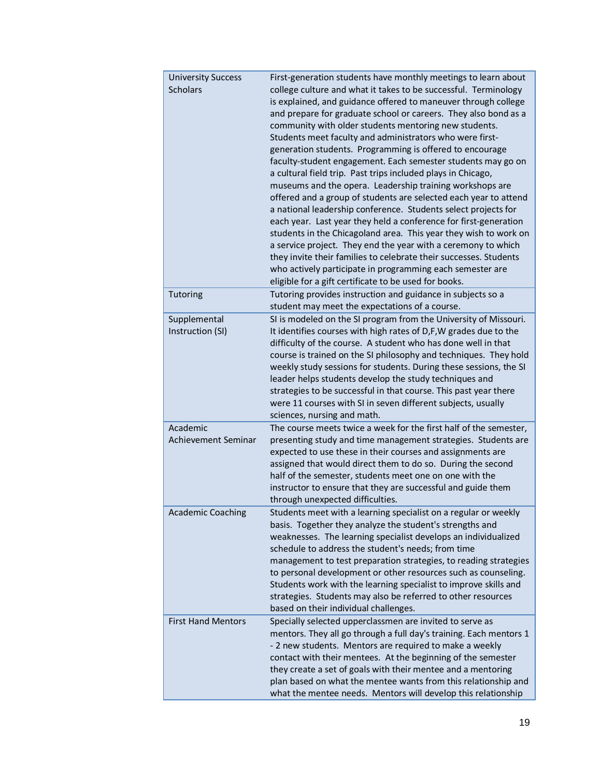| <b>University Success</b>  | First-generation students have monthly meetings to learn about     |
|----------------------------|--------------------------------------------------------------------|
| <b>Scholars</b>            | college culture and what it takes to be successful. Terminology    |
|                            | is explained, and guidance offered to maneuver through college     |
|                            | and prepare for graduate school or careers. They also bond as a    |
|                            | community with older students mentoring new students.              |
|                            | Students meet faculty and administrators who were first-           |
|                            | generation students. Programming is offered to encourage           |
|                            |                                                                    |
|                            | faculty-student engagement. Each semester students may go on       |
|                            | a cultural field trip. Past trips included plays in Chicago,       |
|                            | museums and the opera. Leadership training workshops are           |
|                            | offered and a group of students are selected each year to attend   |
|                            | a national leadership conference. Students select projects for     |
|                            | each year. Last year they held a conference for first-generation   |
|                            | students in the Chicagoland area. This year they wish to work on   |
|                            | a service project. They end the year with a ceremony to which      |
|                            | they invite their families to celebrate their successes. Students  |
|                            | who actively participate in programming each semester are          |
|                            | eligible for a gift certificate to be used for books.              |
| Tutoring                   | Tutoring provides instruction and guidance in subjects so a        |
|                            | student may meet the expectations of a course.                     |
| Supplemental               | SI is modeled on the SI program from the University of Missouri.   |
| Instruction (SI)           | It identifies courses with high rates of D,F,W grades due to the   |
|                            | difficulty of the course. A student who has done well in that      |
|                            | course is trained on the SI philosophy and techniques. They hold   |
|                            | weekly study sessions for students. During these sessions, the SI  |
|                            | leader helps students develop the study techniques and             |
|                            | strategies to be successful in that course. This past year there   |
|                            | were 11 courses with SI in seven different subjects, usually       |
|                            | sciences, nursing and math.                                        |
| Academic                   |                                                                    |
|                            | The course meets twice a week for the first half of the semester,  |
| <b>Achievement Seminar</b> | presenting study and time management strategies. Students are      |
|                            | expected to use these in their courses and assignments are         |
|                            | assigned that would direct them to do so. During the second        |
|                            | half of the semester, students meet one on one with the            |
|                            | instructor to ensure that they are successful and guide them       |
|                            | through unexpected difficulties.                                   |
| Academic Coaching          | Students meet with a learning specialist on a regular or weekly    |
|                            | basis. Together they analyze the student's strengths and           |
|                            | weaknesses. The learning specialist develops an individualized     |
|                            | schedule to address the student's needs; from time                 |
|                            | management to test preparation strategies, to reading strategies   |
|                            | to personal development or other resources such as counseling.     |
|                            | Students work with the learning specialist to improve skills and   |
|                            | strategies. Students may also be referred to other resources       |
|                            | based on their individual challenges.                              |
| <b>First Hand Mentors</b>  | Specially selected upperclassmen are invited to serve as           |
|                            | mentors. They all go through a full day's training. Each mentors 1 |
|                            | - 2 new students. Mentors are required to make a weekly            |
|                            | contact with their mentees. At the beginning of the semester       |
|                            | they create a set of goals with their mentee and a mentoring       |
|                            | plan based on what the mentee wants from this relationship and     |
|                            | what the mentee needs. Mentors will develop this relationship      |
|                            |                                                                    |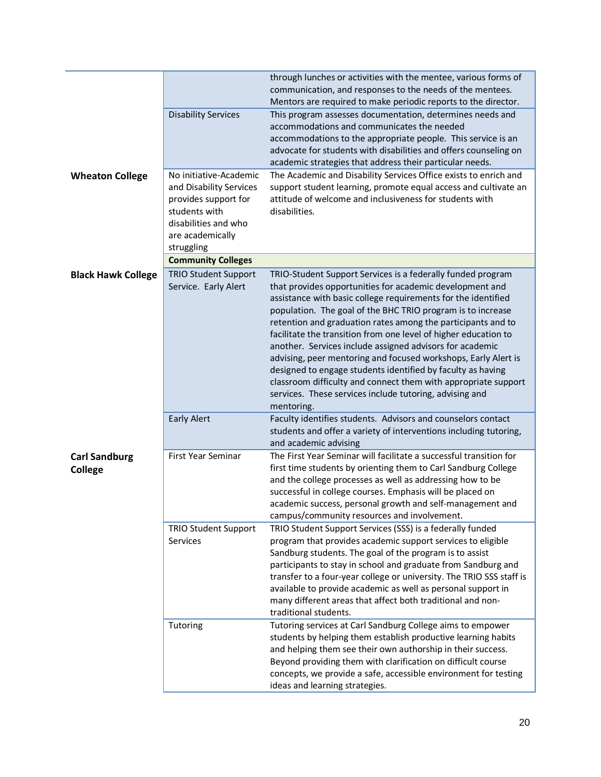|                                        | <b>Disability Services</b>                                                                                                                           | through lunches or activities with the mentee, various forms of<br>communication, and responses to the needs of the mentees.<br>Mentors are required to make periodic reports to the director.<br>This program assesses documentation, determines needs and<br>accommodations and communicates the needed<br>accommodations to the appropriate people. This service is an<br>advocate for students with disabilities and offers counseling on<br>academic strategies that address their particular needs.                                                                                                                                                                                                                          |
|----------------------------------------|------------------------------------------------------------------------------------------------------------------------------------------------------|------------------------------------------------------------------------------------------------------------------------------------------------------------------------------------------------------------------------------------------------------------------------------------------------------------------------------------------------------------------------------------------------------------------------------------------------------------------------------------------------------------------------------------------------------------------------------------------------------------------------------------------------------------------------------------------------------------------------------------|
| <b>Wheaton College</b>                 | No initiative-Academic<br>and Disability Services<br>provides support for<br>students with<br>disabilities and who<br>are academically<br>struggling | The Academic and Disability Services Office exists to enrich and<br>support student learning, promote equal access and cultivate an<br>attitude of welcome and inclusiveness for students with<br>disabilities.                                                                                                                                                                                                                                                                                                                                                                                                                                                                                                                    |
|                                        | <b>Community Colleges</b>                                                                                                                            |                                                                                                                                                                                                                                                                                                                                                                                                                                                                                                                                                                                                                                                                                                                                    |
| <b>Black Hawk College</b>              | <b>TRIO Student Support</b><br>Service. Early Alert                                                                                                  | TRIO-Student Support Services is a federally funded program<br>that provides opportunities for academic development and<br>assistance with basic college requirements for the identified<br>population. The goal of the BHC TRIO program is to increase<br>retention and graduation rates among the participants and to<br>facilitate the transition from one level of higher education to<br>another. Services include assigned advisors for academic<br>advising, peer mentoring and focused workshops, Early Alert is<br>designed to engage students identified by faculty as having<br>classroom difficulty and connect them with appropriate support<br>services. These services include tutoring, advising and<br>mentoring. |
|                                        | <b>Early Alert</b>                                                                                                                                   | Faculty identifies students. Advisors and counselors contact<br>students and offer a variety of interventions including tutoring,<br>and academic advising                                                                                                                                                                                                                                                                                                                                                                                                                                                                                                                                                                         |
| <b>Carl Sandburg</b><br><b>College</b> | <b>First Year Seminar</b>                                                                                                                            | The First Year Seminar will facilitate a successful transition for<br>first time students by orienting them to Carl Sandburg College<br>and the college processes as well as addressing how to be<br>successful in college courses. Emphasis will be placed on<br>academic success, personal growth and self-management and<br>campus/community resources and involvement.                                                                                                                                                                                                                                                                                                                                                         |
|                                        | <b>TRIO Student Support</b><br><b>Services</b>                                                                                                       | TRIO Student Support Services (SSS) is a federally funded<br>program that provides academic support services to eligible<br>Sandburg students. The goal of the program is to assist<br>participants to stay in school and graduate from Sandburg and<br>transfer to a four-year college or university. The TRIO SSS staff is<br>available to provide academic as well as personal support in<br>many different areas that affect both traditional and non-<br>traditional students.                                                                                                                                                                                                                                                |
|                                        | Tutoring                                                                                                                                             | Tutoring services at Carl Sandburg College aims to empower<br>students by helping them establish productive learning habits<br>and helping them see their own authorship in their success.<br>Beyond providing them with clarification on difficult course<br>concepts, we provide a safe, accessible environment for testing<br>ideas and learning strategies.                                                                                                                                                                                                                                                                                                                                                                    |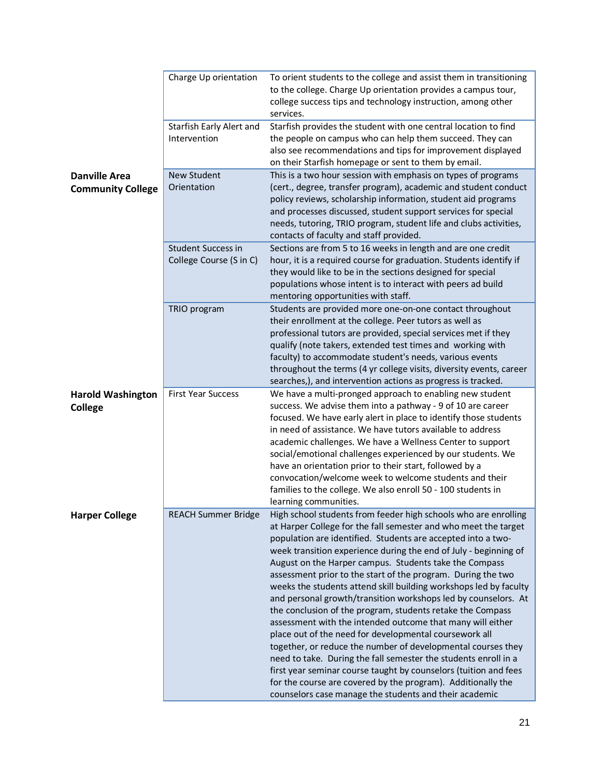|                                                  | Charge Up orientation                                | To orient students to the college and assist them in transitioning<br>to the college. Charge Up orientation provides a campus tour,<br>college success tips and technology instruction, among other<br>services.                                                                                                                                                                                                                                                                                                                                                                                                                                                                                                                                                                                                                                                                                                                                                                                                                                               |
|--------------------------------------------------|------------------------------------------------------|----------------------------------------------------------------------------------------------------------------------------------------------------------------------------------------------------------------------------------------------------------------------------------------------------------------------------------------------------------------------------------------------------------------------------------------------------------------------------------------------------------------------------------------------------------------------------------------------------------------------------------------------------------------------------------------------------------------------------------------------------------------------------------------------------------------------------------------------------------------------------------------------------------------------------------------------------------------------------------------------------------------------------------------------------------------|
|                                                  | Starfish Early Alert and<br>Intervention             | Starfish provides the student with one central location to find<br>the people on campus who can help them succeed. They can<br>also see recommendations and tips for improvement displayed<br>on their Starfish homepage or sent to them by email.                                                                                                                                                                                                                                                                                                                                                                                                                                                                                                                                                                                                                                                                                                                                                                                                             |
| <b>Danville Area</b><br><b>Community College</b> | <b>New Student</b><br>Orientation                    | This is a two hour session with emphasis on types of programs<br>(cert., degree, transfer program), academic and student conduct<br>policy reviews, scholarship information, student aid programs<br>and processes discussed, student support services for special<br>needs, tutoring, TRIO program, student life and clubs activities,<br>contacts of faculty and staff provided.                                                                                                                                                                                                                                                                                                                                                                                                                                                                                                                                                                                                                                                                             |
|                                                  | <b>Student Success in</b><br>College Course (S in C) | Sections are from 5 to 16 weeks in length and are one credit<br>hour, it is a required course for graduation. Students identify if<br>they would like to be in the sections designed for special<br>populations whose intent is to interact with peers ad build<br>mentoring opportunities with staff.                                                                                                                                                                                                                                                                                                                                                                                                                                                                                                                                                                                                                                                                                                                                                         |
|                                                  | TRIO program                                         | Students are provided more one-on-one contact throughout<br>their enrollment at the college. Peer tutors as well as<br>professional tutors are provided, special services met if they<br>qualify (note takers, extended test times and working with<br>faculty) to accommodate student's needs, various events<br>throughout the terms (4 yr college visits, diversity events, career<br>searches,), and intervention actions as progress is tracked.                                                                                                                                                                                                                                                                                                                                                                                                                                                                                                                                                                                                          |
| <b>Harold Washington</b><br><b>College</b>       | <b>First Year Success</b>                            | We have a multi-pronged approach to enabling new student<br>success. We advise them into a pathway - 9 of 10 are career<br>focused. We have early alert in place to identify those students<br>in need of assistance. We have tutors available to address<br>academic challenges. We have a Wellness Center to support<br>social/emotional challenges experienced by our students. We<br>have an orientation prior to their start, followed by a<br>convocation/welcome week to welcome students and their<br>families to the college. We also enroll 50 - 100 students in<br>learning communities.                                                                                                                                                                                                                                                                                                                                                                                                                                                            |
| <b>Harper College</b>                            | <b>REACH Summer Bridge</b>                           | High school students from feeder high schools who are enrolling<br>at Harper College for the fall semester and who meet the target<br>population are identified. Students are accepted into a two-<br>week transition experience during the end of July - beginning of<br>August on the Harper campus. Students take the Compass<br>assessment prior to the start of the program. During the two<br>weeks the students attend skill building workshops led by faculty<br>and personal growth/transition workshops led by counselors. At<br>the conclusion of the program, students retake the Compass<br>assessment with the intended outcome that many will either<br>place out of the need for developmental coursework all<br>together, or reduce the number of developmental courses they<br>need to take. During the fall semester the students enroll in a<br>first year seminar course taught by counselors (tuition and fees<br>for the course are covered by the program). Additionally the<br>counselors case manage the students and their academic |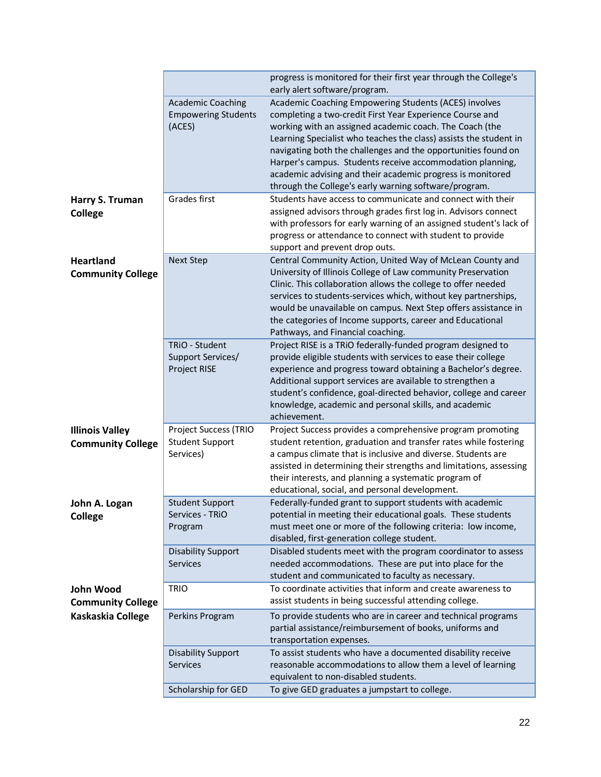|                                              |                                                        | progress is monitored for their first year through the College's<br>early alert software/program.                                                                                                                                                                                                                                                                                                                                |
|----------------------------------------------|--------------------------------------------------------|----------------------------------------------------------------------------------------------------------------------------------------------------------------------------------------------------------------------------------------------------------------------------------------------------------------------------------------------------------------------------------------------------------------------------------|
|                                              | <b>Academic Coaching</b><br><b>Empowering Students</b> | Academic Coaching Empowering Students (ACES) involves<br>completing a two-credit First Year Experience Course and                                                                                                                                                                                                                                                                                                                |
|                                              | (ACES)                                                 | working with an assigned academic coach. The Coach (the<br>Learning Specialist who teaches the class) assists the student in<br>navigating both the challenges and the opportunities found on<br>Harper's campus. Students receive accommodation planning,<br>academic advising and their academic progress is monitored                                                                                                         |
|                                              |                                                        | through the College's early warning software/program.                                                                                                                                                                                                                                                                                                                                                                            |
| Harry S. Truman<br><b>College</b>            | Grades first                                           | Students have access to communicate and connect with their<br>assigned advisors through grades first log in. Advisors connect<br>with professors for early warning of an assigned student's lack of<br>progress or attendance to connect with student to provide<br>support and prevent drop outs.                                                                                                                               |
| <b>Heartland</b><br><b>Community College</b> | <b>Next Step</b>                                       | Central Community Action, United Way of McLean County and<br>University of Illinois College of Law community Preservation<br>Clinic. This collaboration allows the college to offer needed<br>services to students-services which, without key partnerships,<br>would be unavailable on campus. Next Step offers assistance in<br>the categories of Income supports, career and Educational<br>Pathways, and Financial coaching. |
|                                              | TRiO - Student<br>Support Services/<br>Project RISE    | Project RISE is a TRiO federally-funded program designed to<br>provide eligible students with services to ease their college<br>experience and progress toward obtaining a Bachelor's degree.<br>Additional support services are available to strengthen a<br>student's confidence, goal-directed behavior, college and career<br>knowledge, academic and personal skills, and academic<br>achievement.                          |
| <b>Illinois Valley</b>                       | Project Success (TRIO                                  | Project Success provides a comprehensive program promoting                                                                                                                                                                                                                                                                                                                                                                       |
| <b>Community College</b>                     | <b>Student Support</b><br>Services)                    | student retention, graduation and transfer rates while fostering<br>a campus climate that is inclusive and diverse. Students are<br>assisted in determining their strengths and limitations, assessing<br>their interests, and planning a systematic program of<br>educational, social, and personal development.                                                                                                                |
| John A. Logan<br><b>College</b>              | <b>Student Support</b><br>Services - TRiO<br>Program   | Federally-funded grant to support students with academic<br>potential in meeting their educational goals. These students<br>must meet one or more of the following criteria: low income,<br>disabled, first-generation college student.                                                                                                                                                                                          |
|                                              | <b>Disability Support</b><br><b>Services</b>           | Disabled students meet with the program coordinator to assess<br>needed accommodations. These are put into place for the<br>student and communicated to faculty as necessary.                                                                                                                                                                                                                                                    |
| John Wood<br><b>Community College</b>        | <b>TRIO</b>                                            | To coordinate activities that inform and create awareness to<br>assist students in being successful attending college.                                                                                                                                                                                                                                                                                                           |
| Kaskaskia College                            | Perkins Program                                        | To provide students who are in career and technical programs<br>partial assistance/reimbursement of books, uniforms and<br>transportation expenses.                                                                                                                                                                                                                                                                              |
|                                              | <b>Disability Support</b><br><b>Services</b>           | To assist students who have a documented disability receive<br>reasonable accommodations to allow them a level of learning<br>equivalent to non-disabled students.                                                                                                                                                                                                                                                               |
|                                              | Scholarship for GED                                    | To give GED graduates a jumpstart to college.                                                                                                                                                                                                                                                                                                                                                                                    |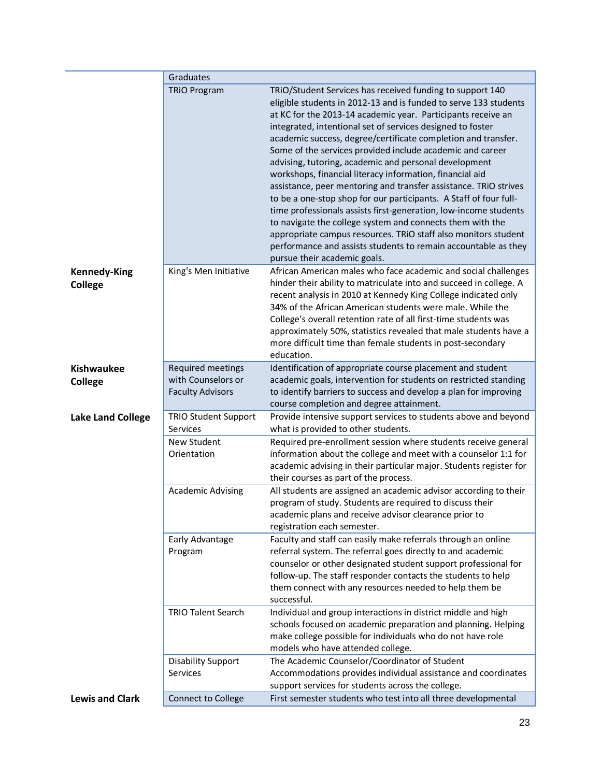|                          | Graduates                   |                                                                                                                                                                                                                                                                                                                                                                                                                                                                                                                                                                                                                                                                                                                                                                                                                                                                                                                                                              |
|--------------------------|-----------------------------|--------------------------------------------------------------------------------------------------------------------------------------------------------------------------------------------------------------------------------------------------------------------------------------------------------------------------------------------------------------------------------------------------------------------------------------------------------------------------------------------------------------------------------------------------------------------------------------------------------------------------------------------------------------------------------------------------------------------------------------------------------------------------------------------------------------------------------------------------------------------------------------------------------------------------------------------------------------|
|                          | <b>TRIO Program</b>         | TRIO/Student Services has received funding to support 140<br>eligible students in 2012-13 and is funded to serve 133 students<br>at KC for the 2013-14 academic year. Participants receive an<br>integrated, intentional set of services designed to foster<br>academic success, degree/certificate completion and transfer.<br>Some of the services provided include academic and career<br>advising, tutoring, academic and personal development<br>workshops, financial literacy information, financial aid<br>assistance, peer mentoring and transfer assistance. TRiO strives<br>to be a one-stop shop for our participants. A Staff of four full-<br>time professionals assists first-generation, low-income students<br>to navigate the college system and connects them with the<br>appropriate campus resources. TRiO staff also monitors student<br>performance and assists students to remain accountable as they<br>pursue their academic goals. |
| <b>Kennedy-King</b>      | King's Men Initiative       | African American males who face academic and social challenges                                                                                                                                                                                                                                                                                                                                                                                                                                                                                                                                                                                                                                                                                                                                                                                                                                                                                               |
| <b>College</b>           |                             | hinder their ability to matriculate into and succeed in college. A<br>recent analysis in 2010 at Kennedy King College indicated only<br>34% of the African American students were male. While the<br>College's overall retention rate of all first-time students was<br>approximately 50%, statistics revealed that male students have a<br>more difficult time than female students in post-secondary<br>education.                                                                                                                                                                                                                                                                                                                                                                                                                                                                                                                                         |
| <b>Kishwaukee</b>        | Required meetings           | Identification of appropriate course placement and student                                                                                                                                                                                                                                                                                                                                                                                                                                                                                                                                                                                                                                                                                                                                                                                                                                                                                                   |
| <b>College</b>           | with Counselors or          | academic goals, intervention for students on restricted standing                                                                                                                                                                                                                                                                                                                                                                                                                                                                                                                                                                                                                                                                                                                                                                                                                                                                                             |
|                          | <b>Faculty Advisors</b>     | to identify barriers to success and develop a plan for improving<br>course completion and degree attainment.                                                                                                                                                                                                                                                                                                                                                                                                                                                                                                                                                                                                                                                                                                                                                                                                                                                 |
| <b>Lake Land College</b> | <b>TRIO Student Support</b> | Provide intensive support services to students above and beyond                                                                                                                                                                                                                                                                                                                                                                                                                                                                                                                                                                                                                                                                                                                                                                                                                                                                                              |
|                          | Services                    | what is provided to other students.                                                                                                                                                                                                                                                                                                                                                                                                                                                                                                                                                                                                                                                                                                                                                                                                                                                                                                                          |
|                          | New Student                 | Required pre-enrollment session where students receive general                                                                                                                                                                                                                                                                                                                                                                                                                                                                                                                                                                                                                                                                                                                                                                                                                                                                                               |
|                          | Orientation                 | information about the college and meet with a counselor 1:1 for                                                                                                                                                                                                                                                                                                                                                                                                                                                                                                                                                                                                                                                                                                                                                                                                                                                                                              |
|                          |                             | academic advising in their particular major. Students register for<br>their courses as part of the process.                                                                                                                                                                                                                                                                                                                                                                                                                                                                                                                                                                                                                                                                                                                                                                                                                                                  |
|                          | <b>Academic Advising</b>    | All students are assigned an academic advisor according to their                                                                                                                                                                                                                                                                                                                                                                                                                                                                                                                                                                                                                                                                                                                                                                                                                                                                                             |
|                          |                             | program of study. Students are required to discuss their                                                                                                                                                                                                                                                                                                                                                                                                                                                                                                                                                                                                                                                                                                                                                                                                                                                                                                     |
|                          |                             | academic plans and receive advisor clearance prior to                                                                                                                                                                                                                                                                                                                                                                                                                                                                                                                                                                                                                                                                                                                                                                                                                                                                                                        |
|                          |                             | registration each semester.                                                                                                                                                                                                                                                                                                                                                                                                                                                                                                                                                                                                                                                                                                                                                                                                                                                                                                                                  |
|                          | Early Advantage             | Faculty and staff can easily make referrals through an online<br>referral system. The referral goes directly to and academic                                                                                                                                                                                                                                                                                                                                                                                                                                                                                                                                                                                                                                                                                                                                                                                                                                 |
|                          | Program                     | counselor or other designated student support professional for                                                                                                                                                                                                                                                                                                                                                                                                                                                                                                                                                                                                                                                                                                                                                                                                                                                                                               |
|                          |                             | follow-up. The staff responder contacts the students to help                                                                                                                                                                                                                                                                                                                                                                                                                                                                                                                                                                                                                                                                                                                                                                                                                                                                                                 |
|                          |                             | them connect with any resources needed to help them be                                                                                                                                                                                                                                                                                                                                                                                                                                                                                                                                                                                                                                                                                                                                                                                                                                                                                                       |
|                          |                             | successful.                                                                                                                                                                                                                                                                                                                                                                                                                                                                                                                                                                                                                                                                                                                                                                                                                                                                                                                                                  |
|                          | <b>TRIO Talent Search</b>   | Individual and group interactions in district middle and high                                                                                                                                                                                                                                                                                                                                                                                                                                                                                                                                                                                                                                                                                                                                                                                                                                                                                                |
|                          |                             | schools focused on academic preparation and planning. Helping<br>make college possible for individuals who do not have role                                                                                                                                                                                                                                                                                                                                                                                                                                                                                                                                                                                                                                                                                                                                                                                                                                  |
|                          |                             | models who have attended college.                                                                                                                                                                                                                                                                                                                                                                                                                                                                                                                                                                                                                                                                                                                                                                                                                                                                                                                            |
|                          | <b>Disability Support</b>   | The Academic Counselor/Coordinator of Student                                                                                                                                                                                                                                                                                                                                                                                                                                                                                                                                                                                                                                                                                                                                                                                                                                                                                                                |
|                          | Services                    | Accommodations provides individual assistance and coordinates                                                                                                                                                                                                                                                                                                                                                                                                                                                                                                                                                                                                                                                                                                                                                                                                                                                                                                |
|                          |                             | support services for students across the college.                                                                                                                                                                                                                                                                                                                                                                                                                                                                                                                                                                                                                                                                                                                                                                                                                                                                                                            |
| <b>Lewis and Clark</b>   | <b>Connect to College</b>   | First semester students who test into all three developmental                                                                                                                                                                                                                                                                                                                                                                                                                                                                                                                                                                                                                                                                                                                                                                                                                                                                                                |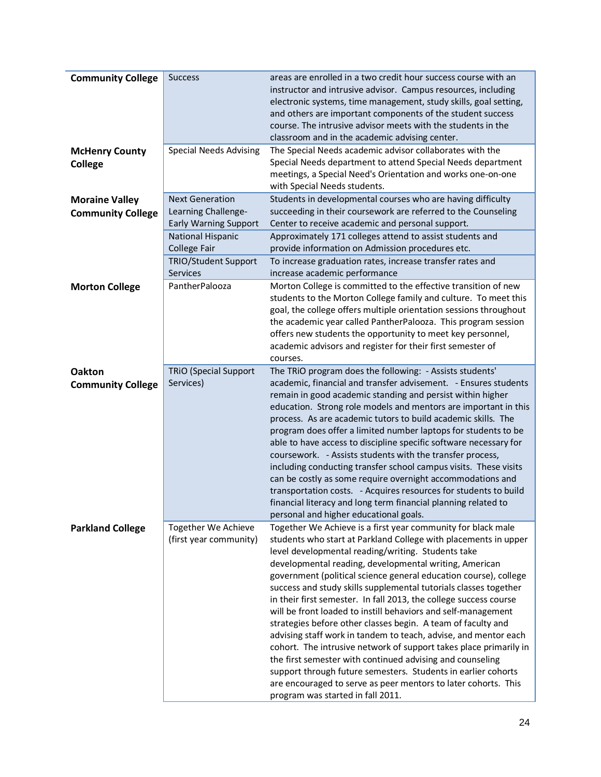| <b>Community College</b>                | <b>Success</b>                                | areas are enrolled in a two credit hour success course with an<br>instructor and intrusive advisor. Campus resources, including<br>electronic systems, time management, study skills, goal setting,<br>and others are important components of the student success<br>course. The intrusive advisor meets with the students in the<br>classroom and in the academic advising center.                                                                                                                                                                                                                                                                                                                                                                                                                                                                                                                        |
|-----------------------------------------|-----------------------------------------------|------------------------------------------------------------------------------------------------------------------------------------------------------------------------------------------------------------------------------------------------------------------------------------------------------------------------------------------------------------------------------------------------------------------------------------------------------------------------------------------------------------------------------------------------------------------------------------------------------------------------------------------------------------------------------------------------------------------------------------------------------------------------------------------------------------------------------------------------------------------------------------------------------------|
| <b>McHenry County</b><br><b>College</b> | <b>Special Needs Advising</b>                 | The Special Needs academic advisor collaborates with the<br>Special Needs department to attend Special Needs department<br>meetings, a Special Need's Orientation and works one-on-one<br>with Special Needs students.                                                                                                                                                                                                                                                                                                                                                                                                                                                                                                                                                                                                                                                                                     |
| <b>Moraine Valley</b>                   | <b>Next Generation</b>                        | Students in developmental courses who are having difficulty                                                                                                                                                                                                                                                                                                                                                                                                                                                                                                                                                                                                                                                                                                                                                                                                                                                |
| <b>Community College</b>                | Learning Challenge-                           | succeeding in their coursework are referred to the Counseling                                                                                                                                                                                                                                                                                                                                                                                                                                                                                                                                                                                                                                                                                                                                                                                                                                              |
|                                         | <b>Early Warning Support</b>                  | Center to receive academic and personal support.                                                                                                                                                                                                                                                                                                                                                                                                                                                                                                                                                                                                                                                                                                                                                                                                                                                           |
|                                         |                                               |                                                                                                                                                                                                                                                                                                                                                                                                                                                                                                                                                                                                                                                                                                                                                                                                                                                                                                            |
|                                         | <b>National Hispanic</b><br>College Fair      | Approximately 171 colleges attend to assist students and<br>provide information on Admission procedures etc.                                                                                                                                                                                                                                                                                                                                                                                                                                                                                                                                                                                                                                                                                                                                                                                               |
|                                         |                                               |                                                                                                                                                                                                                                                                                                                                                                                                                                                                                                                                                                                                                                                                                                                                                                                                                                                                                                            |
|                                         | <b>TRIO/Student Support</b><br>Services       | To increase graduation rates, increase transfer rates and<br>increase academic performance                                                                                                                                                                                                                                                                                                                                                                                                                                                                                                                                                                                                                                                                                                                                                                                                                 |
| <b>Morton College</b>                   | PantherPalooza                                | Morton College is committed to the effective transition of new<br>students to the Morton College family and culture. To meet this<br>goal, the college offers multiple orientation sessions throughout<br>the academic year called PantherPalooza. This program session<br>offers new students the opportunity to meet key personnel,<br>academic advisors and register for their first semester of<br>courses.                                                                                                                                                                                                                                                                                                                                                                                                                                                                                            |
| <b>Oakton</b>                           | <b>TRIO (Special Support</b>                  | The TRIO program does the following: - Assists students'                                                                                                                                                                                                                                                                                                                                                                                                                                                                                                                                                                                                                                                                                                                                                                                                                                                   |
| <b>Community College</b>                | Services)                                     | academic, financial and transfer advisement. - Ensures students                                                                                                                                                                                                                                                                                                                                                                                                                                                                                                                                                                                                                                                                                                                                                                                                                                            |
|                                         |                                               | remain in good academic standing and persist within higher<br>education. Strong role models and mentors are important in this<br>process. As are academic tutors to build academic skills. The<br>program does offer a limited number laptops for students to be<br>able to have access to discipline specific software necessary for<br>coursework. - Assists students with the transfer process,<br>including conducting transfer school campus visits. These visits<br>can be costly as some require overnight accommodations and<br>transportation costs. - Acquires resources for students to build<br>financial literacy and long term financial planning related to<br>personal and higher educational goals.<br>Together We Achieve is a first year community for black male                                                                                                                       |
| <b>Parkland College</b>                 | Together We Achieve<br>(first year community) | students who start at Parkland College with placements in upper<br>level developmental reading/writing. Students take<br>developmental reading, developmental writing, American<br>government (political science general education course), college<br>success and study skills supplemental tutorials classes together<br>in their first semester. In fall 2013, the college success course<br>will be front loaded to instill behaviors and self-management<br>strategies before other classes begin. A team of faculty and<br>advising staff work in tandem to teach, advise, and mentor each<br>cohort. The intrusive network of support takes place primarily in<br>the first semester with continued advising and counseling<br>support through future semesters. Students in earlier cohorts<br>are encouraged to serve as peer mentors to later cohorts. This<br>program was started in fall 2011. |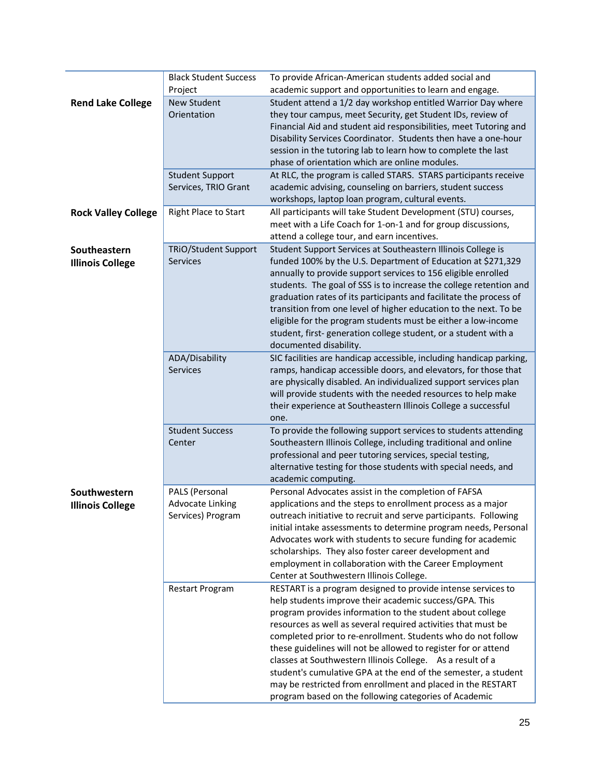|                                         | <b>Black Student Success</b><br>Project                        | To provide African-American students added social and<br>academic support and opportunities to learn and engage.                                                                                                                                                                                                                                                                                                                                                                                                                                                                                                                               |
|-----------------------------------------|----------------------------------------------------------------|------------------------------------------------------------------------------------------------------------------------------------------------------------------------------------------------------------------------------------------------------------------------------------------------------------------------------------------------------------------------------------------------------------------------------------------------------------------------------------------------------------------------------------------------------------------------------------------------------------------------------------------------|
| <b>Rend Lake College</b>                | <b>New Student</b><br>Orientation                              | Student attend a 1/2 day workshop entitled Warrior Day where<br>they tour campus, meet Security, get Student IDs, review of<br>Financial Aid and student aid responsibilities, meet Tutoring and<br>Disability Services Coordinator. Students then have a one-hour<br>session in the tutoring lab to learn how to complete the last<br>phase of orientation which are online modules.                                                                                                                                                                                                                                                          |
|                                         | <b>Student Support</b><br>Services, TRIO Grant                 | At RLC, the program is called STARS. STARS participants receive<br>academic advising, counseling on barriers, student success<br>workshops, laptop loan program, cultural events.                                                                                                                                                                                                                                                                                                                                                                                                                                                              |
| <b>Rock Valley College</b>              | <b>Right Place to Start</b>                                    | All participants will take Student Development (STU) courses,<br>meet with a Life Coach for 1-on-1 and for group discussions,<br>attend a college tour, and earn incentives.                                                                                                                                                                                                                                                                                                                                                                                                                                                                   |
| Southeastern<br><b>Illinois College</b> | <b>TRiO/Student Support</b><br><b>Services</b>                 | Student Support Services at Southeastern Illinois College is<br>funded 100% by the U.S. Department of Education at \$271,329<br>annually to provide support services to 156 eligible enrolled<br>students. The goal of SSS is to increase the college retention and<br>graduation rates of its participants and facilitate the process of<br>transition from one level of higher education to the next. To be<br>eligible for the program students must be either a low-income<br>student, first-generation college student, or a student with a<br>documented disability.                                                                     |
|                                         | ADA/Disability<br><b>Services</b>                              | SIC facilities are handicap accessible, including handicap parking,<br>ramps, handicap accessible doors, and elevators, for those that<br>are physically disabled. An individualized support services plan<br>will provide students with the needed resources to help make<br>their experience at Southeastern Illinois College a successful<br>one.                                                                                                                                                                                                                                                                                           |
|                                         | <b>Student Success</b><br>Center                               | To provide the following support services to students attending<br>Southeastern Illinois College, including traditional and online<br>professional and peer tutoring services, special testing,<br>alternative testing for those students with special needs, and<br>academic computing.                                                                                                                                                                                                                                                                                                                                                       |
| Southwestern<br><b>Illinois College</b> | PALS (Personal<br><b>Advocate Linking</b><br>Services) Program | Personal Advocates assist in the completion of FAFSA<br>applications and the steps to enrollment process as a major<br>outreach initiative to recruit and serve participants. Following<br>initial intake assessments to determine program needs, Personal<br>Advocates work with students to secure funding for academic<br>scholarships. They also foster career development and<br>employment in collaboration with the Career Employment<br>Center at Southwestern Illinois College.                                                                                                                                                       |
|                                         | <b>Restart Program</b>                                         | RESTART is a program designed to provide intense services to<br>help students improve their academic success/GPA. This<br>program provides information to the student about college<br>resources as well as several required activities that must be<br>completed prior to re-enrollment. Students who do not follow<br>these guidelines will not be allowed to register for or attend<br>classes at Southwestern Illinois College. As a result of a<br>student's cumulative GPA at the end of the semester, a student<br>may be restricted from enrollment and placed in the RESTART<br>program based on the following categories of Academic |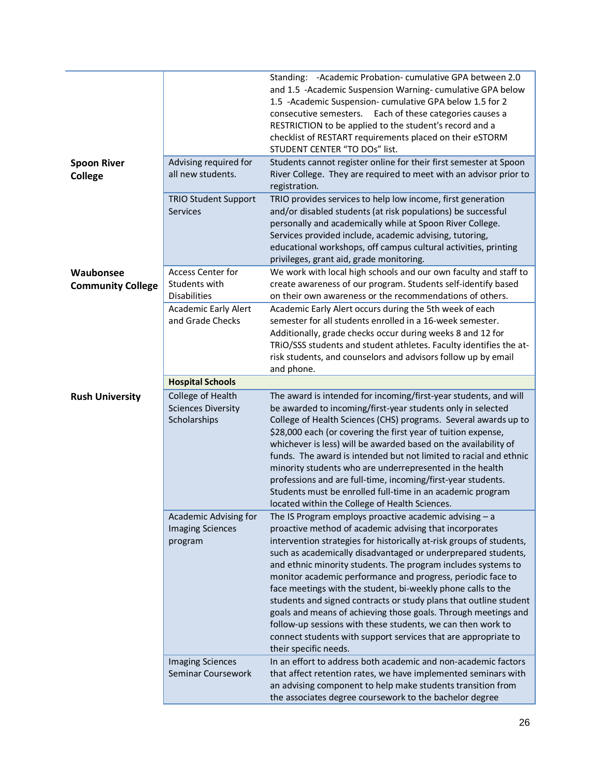|                                       |                                                                | Standing: - Academic Probation- cumulative GPA between 2.0<br>and 1.5 -Academic Suspension Warning-cumulative GPA below<br>1.5 -Academic Suspension-cumulative GPA below 1.5 for 2<br>consecutive semesters. Each of these categories causes a<br>RESTRICTION to be applied to the student's record and a<br>checklist of RESTART requirements placed on their eSTORM<br>STUDENT CENTER "TO DOs" list.                                                                                                                                                                                                                                                                                                                                                        |
|---------------------------------------|----------------------------------------------------------------|---------------------------------------------------------------------------------------------------------------------------------------------------------------------------------------------------------------------------------------------------------------------------------------------------------------------------------------------------------------------------------------------------------------------------------------------------------------------------------------------------------------------------------------------------------------------------------------------------------------------------------------------------------------------------------------------------------------------------------------------------------------|
| <b>Spoon River</b><br><b>College</b>  | Advising required for<br>all new students.                     | Students cannot register online for their first semester at Spoon<br>River College. They are required to meet with an advisor prior to<br>registration.                                                                                                                                                                                                                                                                                                                                                                                                                                                                                                                                                                                                       |
|                                       | <b>TRIO Student Support</b><br>Services                        | TRIO provides services to help low income, first generation<br>and/or disabled students (at risk populations) be successful<br>personally and academically while at Spoon River College.<br>Services provided include, academic advising, tutoring,<br>educational workshops, off campus cultural activities, printing<br>privileges, grant aid, grade monitoring.                                                                                                                                                                                                                                                                                                                                                                                            |
| Waubonsee<br><b>Community College</b> | Access Center for<br>Students with<br><b>Disabilities</b>      | We work with local high schools and our own faculty and staff to<br>create awareness of our program. Students self-identify based<br>on their own awareness or the recommendations of others.                                                                                                                                                                                                                                                                                                                                                                                                                                                                                                                                                                 |
|                                       | <b>Academic Early Alert</b><br>and Grade Checks                | Academic Early Alert occurs during the 5th week of each<br>semester for all students enrolled in a 16-week semester.<br>Additionally, grade checks occur during weeks 8 and 12 for<br>TRIO/SSS students and student athletes. Faculty identifies the at-<br>risk students, and counselors and advisors follow up by email<br>and phone.                                                                                                                                                                                                                                                                                                                                                                                                                       |
|                                       | <b>Hospital Schools</b>                                        |                                                                                                                                                                                                                                                                                                                                                                                                                                                                                                                                                                                                                                                                                                                                                               |
| <b>Rush University</b>                | College of Health<br><b>Sciences Diversity</b><br>Scholarships | The award is intended for incoming/first-year students, and will<br>be awarded to incoming/first-year students only in selected<br>College of Health Sciences (CHS) programs. Several awards up to<br>\$28,000 each (or covering the first year of tuition expense,<br>whichever is less) will be awarded based on the availability of<br>funds. The award is intended but not limited to racial and ethnic<br>minority students who are underrepresented in the health<br>professions and are full-time, incoming/first-year students.<br>Students must be enrolled full-time in an academic program<br>located within the College of Health Sciences.                                                                                                       |
|                                       | Academic Advising for<br><b>Imaging Sciences</b><br>program    | The IS Program employs proactive academic advising $- a$<br>proactive method of academic advising that incorporates<br>intervention strategies for historically at-risk groups of students,<br>such as academically disadvantaged or underprepared students,<br>and ethnic minority students. The program includes systems to<br>monitor academic performance and progress, periodic face to<br>face meetings with the student, bi-weekly phone calls to the<br>students and signed contracts or study plans that outline student<br>goals and means of achieving those goals. Through meetings and<br>follow-up sessions with these students, we can then work to<br>connect students with support services that are appropriate to<br>their specific needs. |
|                                       | <b>Imaging Sciences</b><br>Seminar Coursework                  | In an effort to address both academic and non-academic factors<br>that affect retention rates, we have implemented seminars with<br>an advising component to help make students transition from<br>the associates degree coursework to the bachelor degree                                                                                                                                                                                                                                                                                                                                                                                                                                                                                                    |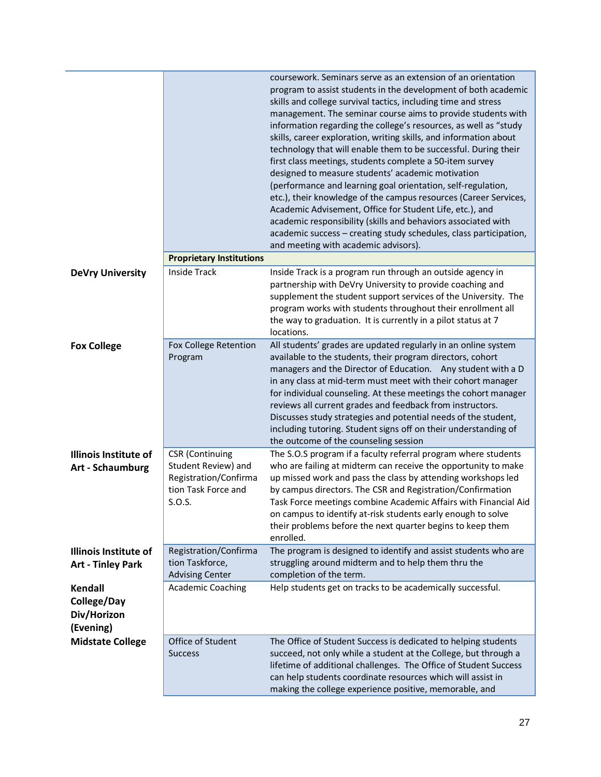|                                                           | <b>Proprietary Institutions</b>                                               | coursework. Seminars serve as an extension of an orientation<br>program to assist students in the development of both academic<br>skills and college survival tactics, including time and stress<br>management. The seminar course aims to provide students with<br>information regarding the college's resources, as well as "study<br>skills, career exploration, writing skills, and information about<br>technology that will enable them to be successful. During their<br>first class meetings, students complete a 50-item survey<br>designed to measure students' academic motivation<br>(performance and learning goal orientation, self-regulation,<br>etc.), their knowledge of the campus resources (Career Services,<br>Academic Advisement, Office for Student Life, etc.), and<br>academic responsibility (skills and behaviors associated with<br>academic success - creating study schedules, class participation,<br>and meeting with academic advisors). |
|-----------------------------------------------------------|-------------------------------------------------------------------------------|-----------------------------------------------------------------------------------------------------------------------------------------------------------------------------------------------------------------------------------------------------------------------------------------------------------------------------------------------------------------------------------------------------------------------------------------------------------------------------------------------------------------------------------------------------------------------------------------------------------------------------------------------------------------------------------------------------------------------------------------------------------------------------------------------------------------------------------------------------------------------------------------------------------------------------------------------------------------------------|
|                                                           |                                                                               |                                                                                                                                                                                                                                                                                                                                                                                                                                                                                                                                                                                                                                                                                                                                                                                                                                                                                                                                                                             |
| <b>DeVry University</b>                                   | <b>Inside Track</b>                                                           | Inside Track is a program run through an outside agency in<br>partnership with DeVry University to provide coaching and<br>supplement the student support services of the University. The<br>program works with students throughout their enrollment all<br>the way to graduation. It is currently in a pilot status at 7<br>locations.                                                                                                                                                                                                                                                                                                                                                                                                                                                                                                                                                                                                                                     |
| <b>Fox College</b>                                        | Fox College Retention<br>Program                                              | All students' grades are updated regularly in an online system<br>available to the students, their program directors, cohort<br>managers and the Director of Education. Any student with a D<br>in any class at mid-term must meet with their cohort manager<br>for individual counseling. At these meetings the cohort manager<br>reviews all current grades and feedback from instructors.<br>Discusses study strategies and potential needs of the student,<br>including tutoring. Student signs off on their understanding of<br>the outcome of the counseling session                                                                                                                                                                                                                                                                                                                                                                                                  |
| <b>Illinois Institute of</b>                              | <b>CSR</b> (Continuing                                                        | The S.O.S program if a faculty referral program where students                                                                                                                                                                                                                                                                                                                                                                                                                                                                                                                                                                                                                                                                                                                                                                                                                                                                                                              |
| <b>Art - Schaumburg</b>                                   | Student Review) and<br>Registration/Confirma<br>tion Task Force and<br>S.O.S. | who are failing at midterm can receive the opportunity to make<br>up missed work and pass the class by attending workshops led<br>by campus directors. The CSR and Registration/Confirmation<br>Task Force meetings combine Academic Affairs with Financial Aid<br>on campus to identify at-risk students early enough to solve<br>their problems before the next quarter begins to keep them<br>enrolled.                                                                                                                                                                                                                                                                                                                                                                                                                                                                                                                                                                  |
| <b>Illinois Institute of</b><br><b>Art - Tinley Park</b>  | Registration/Confirma<br>tion Taskforce,<br><b>Advising Center</b>            | The program is designed to identify and assist students who are<br>struggling around midterm and to help them thru the<br>completion of the term.                                                                                                                                                                                                                                                                                                                                                                                                                                                                                                                                                                                                                                                                                                                                                                                                                           |
|                                                           |                                                                               |                                                                                                                                                                                                                                                                                                                                                                                                                                                                                                                                                                                                                                                                                                                                                                                                                                                                                                                                                                             |
| <b>Kendall</b><br>College/Day<br>Div/Horizon<br>(Evening) | <b>Academic Coaching</b>                                                      | Help students get on tracks to be academically successful.                                                                                                                                                                                                                                                                                                                                                                                                                                                                                                                                                                                                                                                                                                                                                                                                                                                                                                                  |
| <b>Midstate College</b>                                   | Office of Student                                                             | The Office of Student Success is dedicated to helping students                                                                                                                                                                                                                                                                                                                                                                                                                                                                                                                                                                                                                                                                                                                                                                                                                                                                                                              |
|                                                           | <b>Success</b>                                                                | succeed, not only while a student at the College, but through a<br>lifetime of additional challenges. The Office of Student Success<br>can help students coordinate resources which will assist in<br>making the college experience positive, memorable, and                                                                                                                                                                                                                                                                                                                                                                                                                                                                                                                                                                                                                                                                                                                |